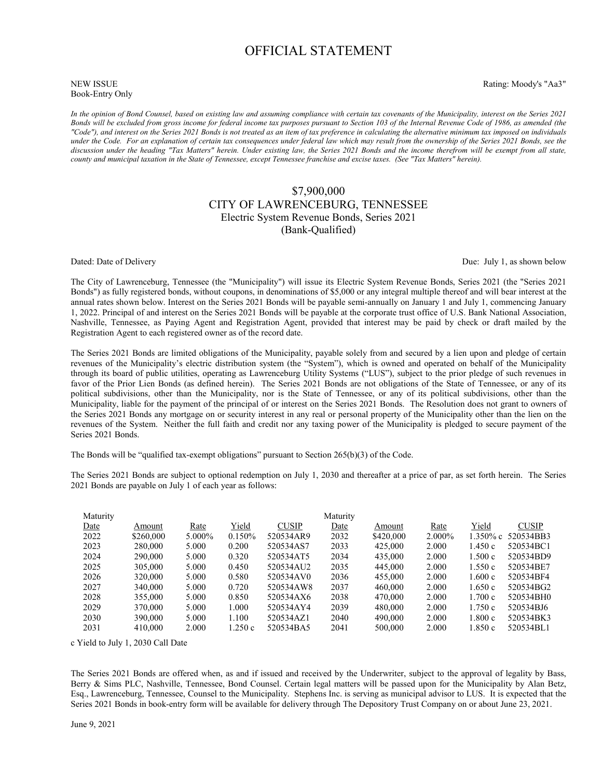# OFFICIAL STATEMENT

Book-Entry Only

NEW ISSUE Rating: Moody's "Aa3" Rating: Moody's "Aa3"

*In the opinion of Bond Counsel, based on existing law and assuming compliance with certain tax covenants of the Municipality, interest on the Series 2021 Bonds will be excluded from gross income for federal income tax purposes pursuant to Section 103 of the Internal Revenue Code of 1986, as amended (the "Code"), and interest on the Series 2021 Bonds is not treated as an item of tax preference in calculating the alternative minimum tax imposed on individuals under the Code. For an explanation of certain tax consequences under federal law which may result from the ownership of the Series 2021 Bonds, see the discussion under the heading "Tax Matters" herein. Under existing law, the Series 2021 Bonds and the income therefrom will be exempt from all state, county and municipal taxation in the State of Tennessee, except Tennessee franchise and excise taxes. (See "Tax Matters" herein).*

# \$7,900,000 CITY OF LAWRENCEBURG, TENNESSEE Electric System Revenue Bonds, Series 2021 (Bank-Qualified)

Dated: Date of Delivery Due: July 1, as shown below Due: Due: July 1, as shown below

The City of Lawrenceburg, Tennessee (the "Municipality") will issue its Electric System Revenue Bonds, Series 2021 (the "Series 2021 Bonds") as fully registered bonds, without coupons, in denominations of \$5,000 or any integral multiple thereof and will bear interest at the annual rates shown below. Interest on the Series 2021 Bonds will be payable semi-annually on January 1 and July 1, commencing January 1, 2022. Principal of and interest on the Series 2021 Bonds will be payable at the corporate trust office of U.S. Bank National Association, Nashville, Tennessee, as Paying Agent and Registration Agent, provided that interest may be paid by check or draft mailed by the Registration Agent to each registered owner as of the record date.

The Series 2021 Bonds are limited obligations of the Municipality, payable solely from and secured by a lien upon and pledge of certain revenues of the Municipality's electric distribution system (the "System"), which is owned and operated on behalf of the Municipality through its board of public utilities, operating as Lawrenceburg Utility Systems ("LUS"), subject to the prior pledge of such revenues in favor of the Prior Lien Bonds (as defined herein). The Series 2021 Bonds are not obligations of the State of Tennessee, or any of its political subdivisions, other than the Municipality, nor is the State of Tennessee, or any of its political subdivisions, other than the Municipality, liable for the payment of the principal of or interest on the Series 2021 Bonds. The Resolution does not grant to owners of the Series 2021 Bonds any mortgage on or security interest in any real or personal property of the Municipality other than the lien on the revenues of the System. Neither the full faith and credit nor any taxing power of the Municipality is pledged to secure payment of the Series 2021 Bonds.

The Bonds will be "qualified tax-exempt obligations" pursuant to Section 265(b)(3) of the Code.

The Series 2021 Bonds are subject to optional redemption on July 1, 2030 and thereafter at a price of par, as set forth herein. The Series 2021 Bonds are payable on July 1 of each year as follows:

| Maturity |           |        |        |              | Maturity |           |         |             |              |
|----------|-----------|--------|--------|--------------|----------|-----------|---------|-------------|--------------|
| Date     | Amount    | Rate   | Yield  | <b>CUSIP</b> | Date     | Amount    | Rate    | Yield       | <b>CUSIP</b> |
| 2022     | \$260,000 | 5.000% | 0.150% | 520534AR9    | 2032     | \$420,000 | 2.000\% | $1.350\%$ c | 520534BB3    |
| 2023     | 280,000   | 5.000  | 0.200  | 520534AS7    | 2033     | 425,000   | 2.000   | 1.450c      | 520534BC1    |
| 2024     | 290,000   | 5.000  | 0.320  | 520534AT5    | 2034     | 435,000   | 2.000   | 1.500c      | 520534BD9    |
| 2025     | 305,000   | 5.000  | 0.450  | 520534AU2    | 2035     | 445,000   | 2.000   | 1.550c      | 520534BE7    |
| 2026     | 320,000   | 5.000  | 0.580  | 520534AV0    | 2036     | 455,000   | 2.000   | 1.600c      | 520534BF4    |
| 2027     | 340,000   | 5.000  | 0.720  | 520534AW8    | 2037     | 460,000   | 2.000   | 1.650c      | 520534BG2    |
| 2028     | 355,000   | 5.000  | 0.850  | 520534AX6    | 2038     | 470,000   | 2.000   | 1.700c      | 520534BH0    |
| 2029     | 370,000   | 5.000  | 1.000  | 520534AY4    | 2039     | 480,000   | 2.000   | 1.750c      | 520534BJ6    |
| 2030     | 390,000   | 5.000  | 1.100  | 520534AZ1    | 2040     | 490,000   | 2.000   | 1.800c      | 520534BK3    |
| 2031     | 410,000   | 2.000  | 1.250c | 520534BA5    | 2041     | 500,000   | 2.000   | 1.850c      | 520534BL1    |

c Yield to July 1, 2030 Call Date

The Series 2021 Bonds are offered when, as and if issued and received by the Underwriter, subject to the approval of legality by Bass, Berry & Sims PLC, Nashville, Tennessee, Bond Counsel. Certain legal matters will be passed upon for the Municipality by Alan Betz, Esq., Lawrenceburg, Tennessee, Counsel to the Municipality. Stephens Inc. is serving as municipal advisor to LUS. It is expected that the Series 2021 Bonds in book-entry form will be available for delivery through The Depository Trust Company on or about June 23, 2021.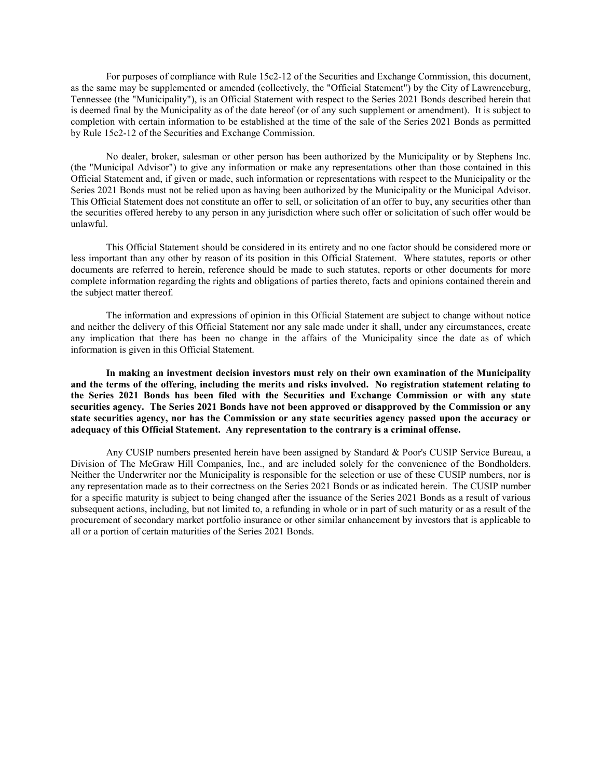For purposes of compliance with Rule 15c2-12 of the Securities and Exchange Commission, this document, as the same may be supplemented or amended (collectively, the "Official Statement") by the City of Lawrenceburg, Tennessee (the "Municipality"), is an Official Statement with respect to the Series 2021 Bonds described herein that is deemed final by the Municipality as of the date hereof (or of any such supplement or amendment). It is subject to completion with certain information to be established at the time of the sale of the Series 2021 Bonds as permitted by Rule 15c2-12 of the Securities and Exchange Commission.

No dealer, broker, salesman or other person has been authorized by the Municipality or by Stephens Inc. (the "Municipal Advisor") to give any information or make any representations other than those contained in this Official Statement and, if given or made, such information or representations with respect to the Municipality or the Series 2021 Bonds must not be relied upon as having been authorized by the Municipality or the Municipal Advisor. This Official Statement does not constitute an offer to sell, or solicitation of an offer to buy, any securities other than the securities offered hereby to any person in any jurisdiction where such offer or solicitation of such offer would be unlawful.

This Official Statement should be considered in its entirety and no one factor should be considered more or less important than any other by reason of its position in this Official Statement. Where statutes, reports or other documents are referred to herein, reference should be made to such statutes, reports or other documents for more complete information regarding the rights and obligations of parties thereto, facts and opinions contained therein and the subject matter thereof.

The information and expressions of opinion in this Official Statement are subject to change without notice and neither the delivery of this Official Statement nor any sale made under it shall, under any circumstances, create any implication that there has been no change in the affairs of the Municipality since the date as of which information is given in this Official Statement.

**In making an investment decision investors must rely on their own examination of the Municipality and the terms of the offering, including the merits and risks involved. No registration statement relating to the Series 2021 Bonds has been filed with the Securities and Exchange Commission or with any state securities agency. The Series 2021 Bonds have not been approved or disapproved by the Commission or any state securities agency, nor has the Commission or any state securities agency passed upon the accuracy or adequacy of this Official Statement. Any representation to the contrary is a criminal offense.**

Any CUSIP numbers presented herein have been assigned by Standard & Poor's CUSIP Service Bureau, a Division of The McGraw Hill Companies, Inc., and are included solely for the convenience of the Bondholders. Neither the Underwriter nor the Municipality is responsible for the selection or use of these CUSIP numbers, nor is any representation made as to their correctness on the Series 2021 Bonds or as indicated herein. The CUSIP number for a specific maturity is subject to being changed after the issuance of the Series 2021 Bonds as a result of various subsequent actions, including, but not limited to, a refunding in whole or in part of such maturity or as a result of the procurement of secondary market portfolio insurance or other similar enhancement by investors that is applicable to all or a portion of certain maturities of the Series 2021 Bonds.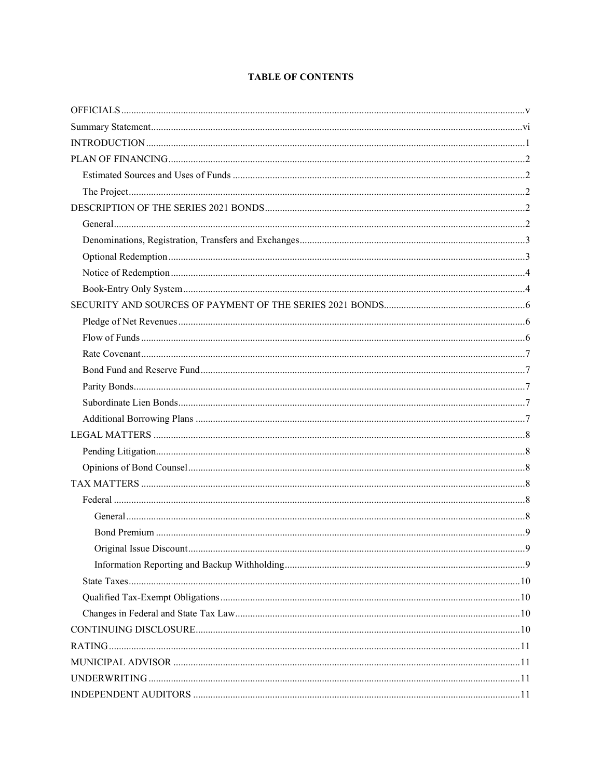# **TABLE OF CONTENTS**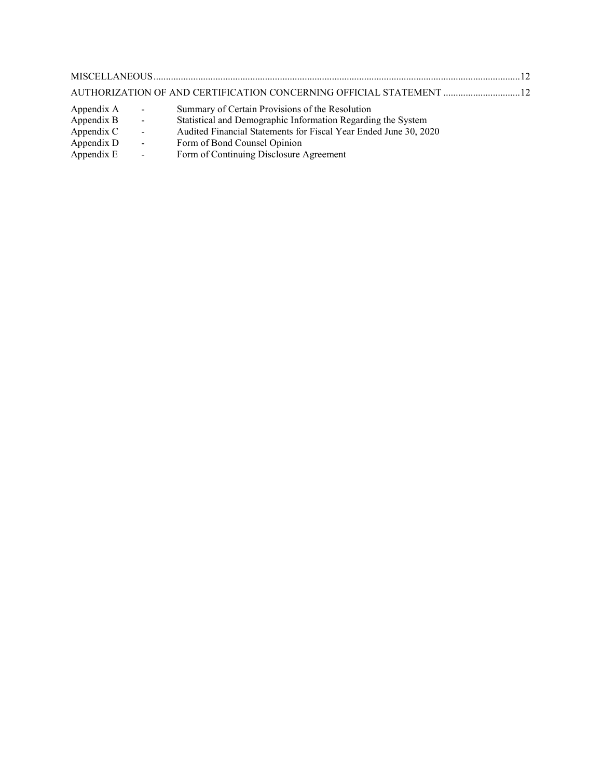| Appendix A - | Summary of Certain Provisions of the Resolution |  |
|--------------|-------------------------------------------------|--|

- Appendix B Statistical and Demographic Information Regarding the System
- Appendix C Audited Financial Statements for Fiscal Year Ended June 30, 2020
- Appendix D Form of Bond Counsel Opinion
- Appendix E Form of Continuing Disclosure Agreement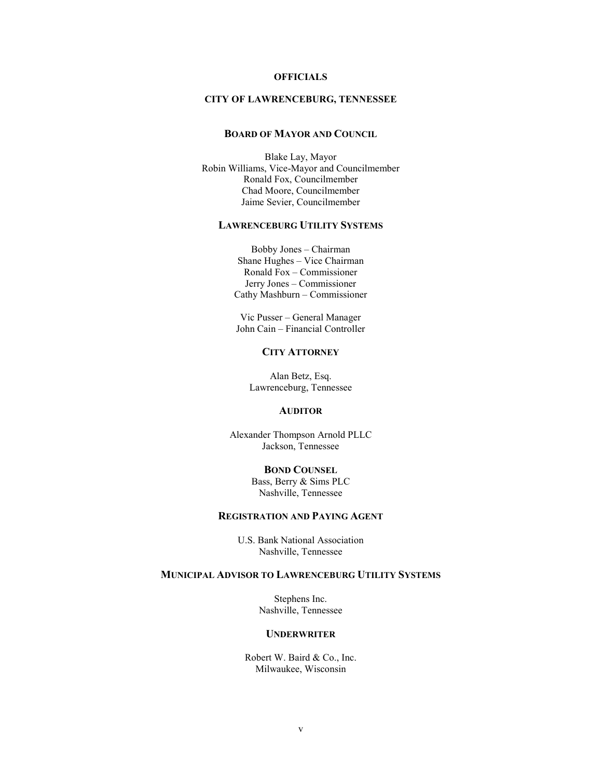# **OFFICIALS**

### **CITY OF LAWRENCEBURG, TENNESSEE**

### **BOARD OF MAYOR AND COUNCIL**

Blake Lay, Mayor Robin Williams, Vice-Mayor and Councilmember Ronald Fox, Councilmember Chad Moore, Councilmember Jaime Sevier, Councilmember

# **LAWRENCEBURG UTILITY SYSTEMS**

Bobby Jones – Chairman Shane Hughes – Vice Chairman Ronald Fox – Commissioner Jerry Jones – Commissioner Cathy Mashburn – Commissioner

Vic Pusser – General Manager John Cain – Financial Controller

# **CITY ATTORNEY**

Alan Betz, Esq. Lawrenceburg, Tennessee

# **AUDITOR**

Alexander Thompson Arnold PLLC Jackson, Tennessee

# **BOND COUNSEL**

Bass, Berry & Sims PLC Nashville, Tennessee

# **REGISTRATION AND PAYING AGENT**

U.S. Bank National Association Nashville, Tennessee

# **MUNICIPAL ADVISOR TO LAWRENCEBURG UTILITY SYSTEMS**

Stephens Inc. Nashville, Tennessee

#### **UNDERWRITER**

Robert W. Baird & Co., Inc. Milwaukee, Wisconsin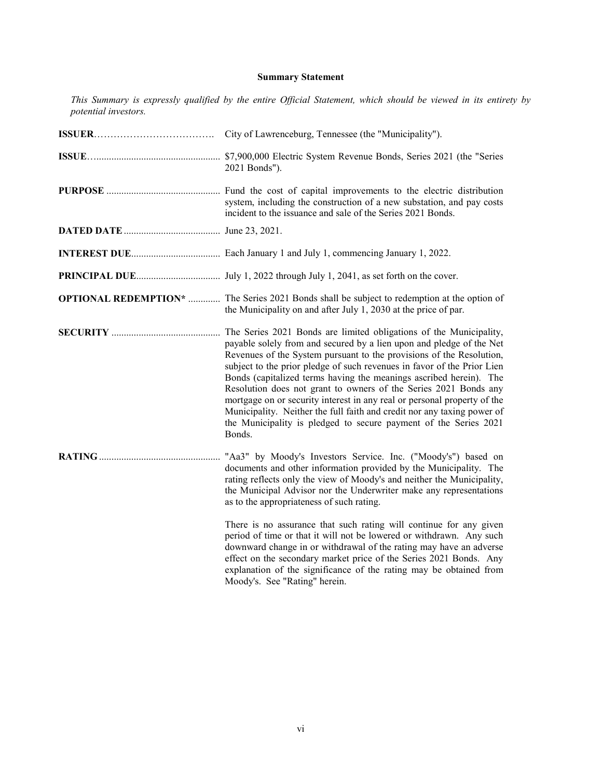# **Summary Statement**

*This Summary is expressly qualified by the entire Official Statement, which should be viewed in its entirety by potential investors.*

| City of Lawrenceburg, Tennessee (the "Municipality").                                                                                                                                                                                                                                                                                                                                                                                                                                                                                                                                                                                                                        |
|------------------------------------------------------------------------------------------------------------------------------------------------------------------------------------------------------------------------------------------------------------------------------------------------------------------------------------------------------------------------------------------------------------------------------------------------------------------------------------------------------------------------------------------------------------------------------------------------------------------------------------------------------------------------------|
| 2021 Bonds").                                                                                                                                                                                                                                                                                                                                                                                                                                                                                                                                                                                                                                                                |
| system, including the construction of a new substation, and pay costs<br>incident to the issuance and sale of the Series 2021 Bonds.                                                                                                                                                                                                                                                                                                                                                                                                                                                                                                                                         |
|                                                                                                                                                                                                                                                                                                                                                                                                                                                                                                                                                                                                                                                                              |
|                                                                                                                                                                                                                                                                                                                                                                                                                                                                                                                                                                                                                                                                              |
|                                                                                                                                                                                                                                                                                                                                                                                                                                                                                                                                                                                                                                                                              |
| <b>OPTIONAL REDEMPTION*</b> The Series 2021 Bonds shall be subject to redemption at the option of<br>the Municipality on and after July 1, 2030 at the price of par.                                                                                                                                                                                                                                                                                                                                                                                                                                                                                                         |
| The Series 2021 Bonds are limited obligations of the Municipality,<br>payable solely from and secured by a lien upon and pledge of the Net<br>Revenues of the System pursuant to the provisions of the Resolution,<br>subject to the prior pledge of such revenues in favor of the Prior Lien<br>Bonds (capitalized terms having the meanings ascribed herein). The<br>Resolution does not grant to owners of the Series 2021 Bonds any<br>mortgage on or security interest in any real or personal property of the<br>Municipality. Neither the full faith and credit nor any taxing power of<br>the Municipality is pledged to secure payment of the Series 2021<br>Bonds. |
| "Aa3" by Moody's Investors Service. Inc. ("Moody's") based on<br>documents and other information provided by the Municipality. The<br>rating reflects only the view of Moody's and neither the Municipality,<br>the Municipal Advisor nor the Underwriter make any representations<br>as to the appropriateness of such rating.                                                                                                                                                                                                                                                                                                                                              |
| There is no assurance that such rating will continue for any given<br>period of time or that it will not be lowered or withdrawn. Any such<br>downward change in or withdrawal of the rating may have an adverse<br>effect on the secondary market price of the Series 2021 Bonds. Any<br>explanation of the significance of the rating may be obtained from                                                                                                                                                                                                                                                                                                                 |

Moody's. See "Rating" herein.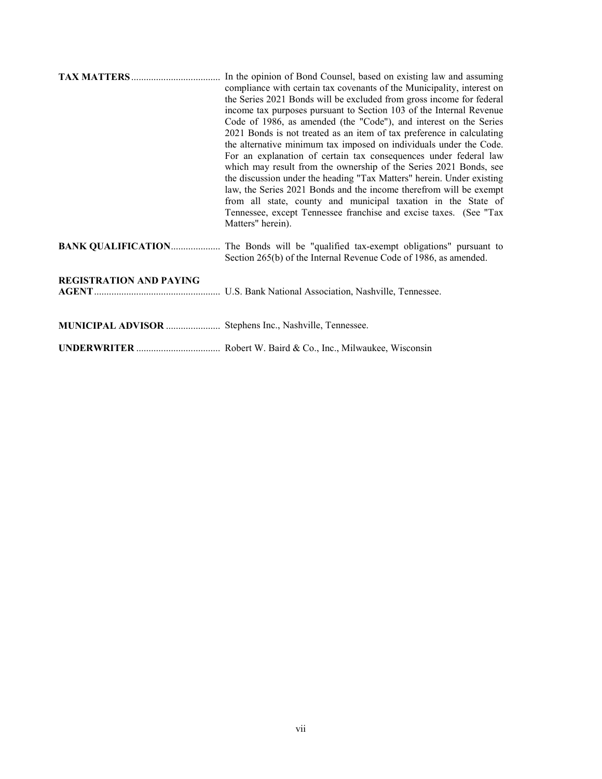|                                                         | In the opinion of Bond Counsel, based on existing law and assuming<br>compliance with certain tax covenants of the Municipality, interest on<br>the Series 2021 Bonds will be excluded from gross income for federal<br>income tax purposes pursuant to Section 103 of the Internal Revenue<br>Code of 1986, as amended (the "Code"), and interest on the Series<br>2021 Bonds is not treated as an item of tax preference in calculating<br>the alternative minimum tax imposed on individuals under the Code.<br>For an explanation of certain tax consequences under federal law<br>which may result from the ownership of the Series 2021 Bonds, see<br>the discussion under the heading "Tax Matters" herein. Under existing<br>law, the Series 2021 Bonds and the income therefrom will be exempt<br>from all state, county and municipal taxation in the State of<br>Tennessee, except Tennessee franchise and excise taxes. (See "Tax<br>Matters" herein). |
|---------------------------------------------------------|--------------------------------------------------------------------------------------------------------------------------------------------------------------------------------------------------------------------------------------------------------------------------------------------------------------------------------------------------------------------------------------------------------------------------------------------------------------------------------------------------------------------------------------------------------------------------------------------------------------------------------------------------------------------------------------------------------------------------------------------------------------------------------------------------------------------------------------------------------------------------------------------------------------------------------------------------------------------|
|                                                         | <b>BANK QUALIFICATION</b> The Bonds will be "qualified tax-exempt obligations" pursuant to<br>Section 265(b) of the Internal Revenue Code of 1986, as amended.                                                                                                                                                                                                                                                                                                                                                                                                                                                                                                                                                                                                                                                                                                                                                                                                     |
| <b>REGISTRATION AND PAYING</b>                          |                                                                                                                                                                                                                                                                                                                                                                                                                                                                                                                                                                                                                                                                                                                                                                                                                                                                                                                                                                    |
| MUNICIPAL ADVISOR  Stephens Inc., Nashville, Tennessee. |                                                                                                                                                                                                                                                                                                                                                                                                                                                                                                                                                                                                                                                                                                                                                                                                                                                                                                                                                                    |
|                                                         |                                                                                                                                                                                                                                                                                                                                                                                                                                                                                                                                                                                                                                                                                                                                                                                                                                                                                                                                                                    |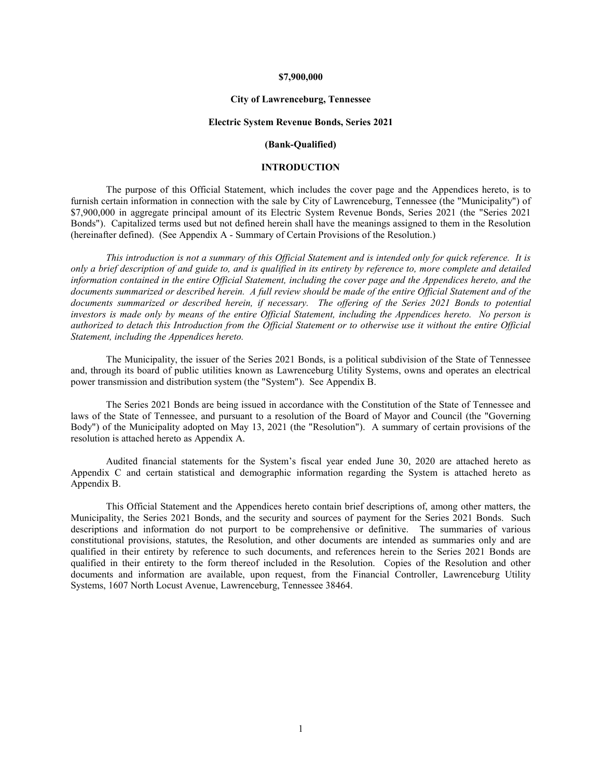### **\$7,900,000**

#### **City of Lawrenceburg, Tennessee**

#### **Electric System Revenue Bonds, Series 2021**

### **(Bank-Qualified)**

# **INTRODUCTION**

The purpose of this Official Statement, which includes the cover page and the Appendices hereto, is to furnish certain information in connection with the sale by City of Lawrenceburg, Tennessee (the "Municipality") of \$7,900,000 in aggregate principal amount of its Electric System Revenue Bonds, Series 2021 (the "Series 2021 Bonds"). Capitalized terms used but not defined herein shall have the meanings assigned to them in the Resolution (hereinafter defined). (See Appendix A - Summary of Certain Provisions of the Resolution.)

*This introduction is not a summary of this Official Statement and is intended only for quick reference. It is only a brief description of and guide to, and is qualified in its entirety by reference to, more complete and detailed information contained in the entire Official Statement, including the cover page and the Appendices hereto, and the documents summarized or described herein. A full review should be made of the entire Official Statement and of the documents summarized or described herein, if necessary. The offering of the Series 2021 Bonds to potential*  investors is made only by means of the entire Official Statement, including the Appendices hereto. No person is *authorized to detach this Introduction from the Official Statement or to otherwise use it without the entire Official Statement, including the Appendices hereto.*

The Municipality, the issuer of the Series 2021 Bonds, is a political subdivision of the State of Tennessee and, through its board of public utilities known as Lawrenceburg Utility Systems, owns and operates an electrical power transmission and distribution system (the "System"). See Appendix B.

The Series 2021 Bonds are being issued in accordance with the Constitution of the State of Tennessee and laws of the State of Tennessee, and pursuant to a resolution of the Board of Mayor and Council (the "Governing Body") of the Municipality adopted on May 13, 2021 (the "Resolution"). A summary of certain provisions of the resolution is attached hereto as Appendix A.

Audited financial statements for the System's fiscal year ended June 30, 2020 are attached hereto as Appendix C and certain statistical and demographic information regarding the System is attached hereto as Appendix B.

This Official Statement and the Appendices hereto contain brief descriptions of, among other matters, the Municipality, the Series 2021 Bonds, and the security and sources of payment for the Series 2021 Bonds. Such descriptions and information do not purport to be comprehensive or definitive. The summaries of various constitutional provisions, statutes, the Resolution, and other documents are intended as summaries only and are qualified in their entirety by reference to such documents, and references herein to the Series 2021 Bonds are qualified in their entirety to the form thereof included in the Resolution. Copies of the Resolution and other documents and information are available, upon request, from the Financial Controller, Lawrenceburg Utility Systems, 1607 North Locust Avenue, Lawrenceburg, Tennessee 38464.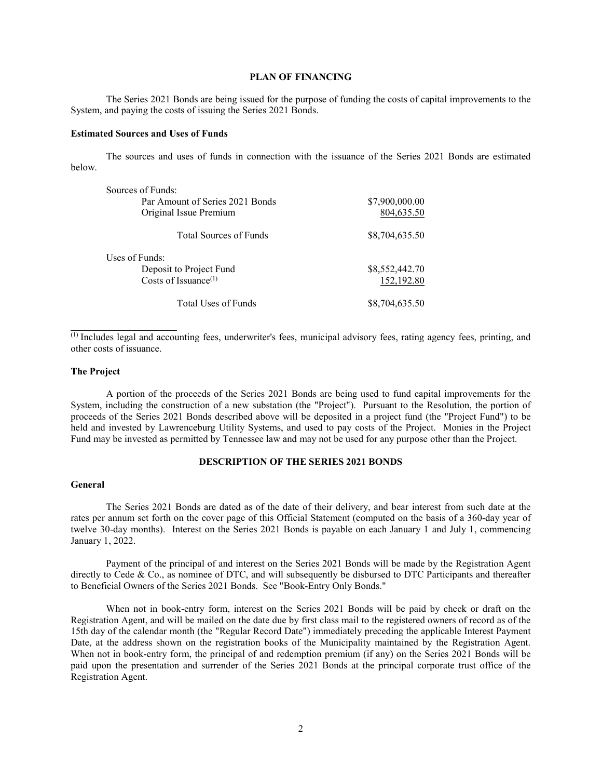# **PLAN OF FINANCING**

The Series 2021 Bonds are being issued for the purpose of funding the costs of capital improvements to the System, and paying the costs of issuing the Series 2021 Bonds.

#### **Estimated Sources and Uses of Funds**

The sources and uses of funds in connection with the issuance of the Series 2021 Bonds are estimated below.

| Sources of Funds:               |                |
|---------------------------------|----------------|
| Par Amount of Series 2021 Bonds | \$7,900,000.00 |
| Original Issue Premium          | 804,635.50     |
| <b>Total Sources of Funds</b>   | \$8,704,635.50 |
| Uses of Funds:                  |                |
| Deposit to Project Fund         | \$8,552,442.70 |
| Costs of Issuance $^{(1)}$      | 152,192.80     |
| Total Uses of Funds             | \$8,704,635.50 |

 $\overline{p}$  Includes legal and accounting fees, underwriter's fees, municipal advisory fees, rating agency fees, printing, and other costs of issuance.

#### **The Project**

A portion of the proceeds of the Series 2021 Bonds are being used to fund capital improvements for the System, including the construction of a new substation (the "Project"). Pursuant to the Resolution, the portion of proceeds of the Series 2021 Bonds described above will be deposited in a project fund (the "Project Fund") to be held and invested by Lawrenceburg Utility Systems, and used to pay costs of the Project. Monies in the Project Fund may be invested as permitted by Tennessee law and may not be used for any purpose other than the Project.

### **DESCRIPTION OF THE SERIES 2021 BONDS**

### **General**

The Series 2021 Bonds are dated as of the date of their delivery, and bear interest from such date at the rates per annum set forth on the cover page of this Official Statement (computed on the basis of a 360-day year of twelve 30-day months). Interest on the Series 2021 Bonds is payable on each January 1 and July 1, commencing January 1, 2022.

Payment of the principal of and interest on the Series 2021 Bonds will be made by the Registration Agent directly to Cede & Co., as nominee of DTC, and will subsequently be disbursed to DTC Participants and thereafter to Beneficial Owners of the Series 2021 Bonds. See "Book-Entry Only Bonds."

When not in book-entry form, interest on the Series 2021 Bonds will be paid by check or draft on the Registration Agent, and will be mailed on the date due by first class mail to the registered owners of record as of the 15th day of the calendar month (the "Regular Record Date") immediately preceding the applicable Interest Payment Date, at the address shown on the registration books of the Municipality maintained by the Registration Agent. When not in book-entry form, the principal of and redemption premium (if any) on the Series 2021 Bonds will be paid upon the presentation and surrender of the Series 2021 Bonds at the principal corporate trust office of the Registration Agent.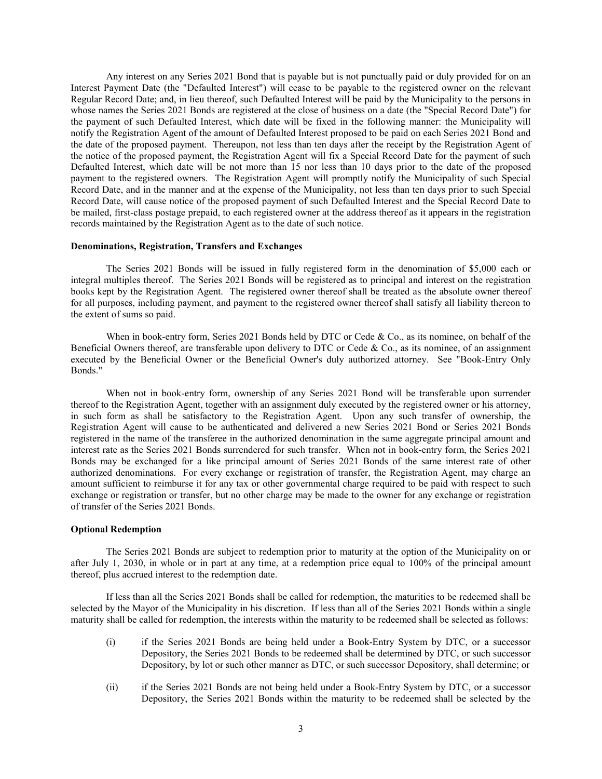Any interest on any Series 2021 Bond that is payable but is not punctually paid or duly provided for on an Interest Payment Date (the "Defaulted Interest") will cease to be payable to the registered owner on the relevant Regular Record Date; and, in lieu thereof, such Defaulted Interest will be paid by the Municipality to the persons in whose names the Series 2021 Bonds are registered at the close of business on a date (the "Special Record Date") for the payment of such Defaulted Interest, which date will be fixed in the following manner: the Municipality will notify the Registration Agent of the amount of Defaulted Interest proposed to be paid on each Series 2021 Bond and the date of the proposed payment. Thereupon, not less than ten days after the receipt by the Registration Agent of the notice of the proposed payment, the Registration Agent will fix a Special Record Date for the payment of such Defaulted Interest, which date will be not more than 15 nor less than 10 days prior to the date of the proposed payment to the registered owners. The Registration Agent will promptly notify the Municipality of such Special Record Date, and in the manner and at the expense of the Municipality, not less than ten days prior to such Special Record Date, will cause notice of the proposed payment of such Defaulted Interest and the Special Record Date to be mailed, first-class postage prepaid, to each registered owner at the address thereof as it appears in the registration records maintained by the Registration Agent as to the date of such notice.

#### **Denominations, Registration, Transfers and Exchanges**

The Series 2021 Bonds will be issued in fully registered form in the denomination of \$5,000 each or integral multiples thereof. The Series 2021 Bonds will be registered as to principal and interest on the registration books kept by the Registration Agent. The registered owner thereof shall be treated as the absolute owner thereof for all purposes, including payment, and payment to the registered owner thereof shall satisfy all liability thereon to the extent of sums so paid.

When in book-entry form, Series 2021 Bonds held by DTC or Cede & Co., as its nominee, on behalf of the Beneficial Owners thereof, are transferable upon delivery to DTC or Cede & Co., as its nominee, of an assignment executed by the Beneficial Owner or the Beneficial Owner's duly authorized attorney. See "Book-Entry Only Bonds."

When not in book-entry form, ownership of any Series 2021 Bond will be transferable upon surrender thereof to the Registration Agent, together with an assignment duly executed by the registered owner or his attorney, in such form as shall be satisfactory to the Registration Agent. Upon any such transfer of ownership, the Registration Agent will cause to be authenticated and delivered a new Series 2021 Bond or Series 2021 Bonds registered in the name of the transferee in the authorized denomination in the same aggregate principal amount and interest rate as the Series 2021 Bonds surrendered for such transfer. When not in book-entry form, the Series 2021 Bonds may be exchanged for a like principal amount of Series 2021 Bonds of the same interest rate of other authorized denominations. For every exchange or registration of transfer, the Registration Agent, may charge an amount sufficient to reimburse it for any tax or other governmental charge required to be paid with respect to such exchange or registration or transfer, but no other charge may be made to the owner for any exchange or registration of transfer of the Series 2021 Bonds.

#### **Optional Redemption**

The Series 2021 Bonds are subject to redemption prior to maturity at the option of the Municipality on or after July 1, 2030, in whole or in part at any time, at a redemption price equal to 100% of the principal amount thereof, plus accrued interest to the redemption date.

If less than all the Series 2021 Bonds shall be called for redemption, the maturities to be redeemed shall be selected by the Mayor of the Municipality in his discretion. If less than all of the Series 2021 Bonds within a single maturity shall be called for redemption, the interests within the maturity to be redeemed shall be selected as follows:

- (i) if the Series 2021 Bonds are being held under a Book-Entry System by DTC, or a successor Depository, the Series 2021 Bonds to be redeemed shall be determined by DTC, or such successor Depository, by lot or such other manner as DTC, or such successor Depository, shall determine; or
- (ii) if the Series 2021 Bonds are not being held under a Book-Entry System by DTC, or a successor Depository, the Series 2021 Bonds within the maturity to be redeemed shall be selected by the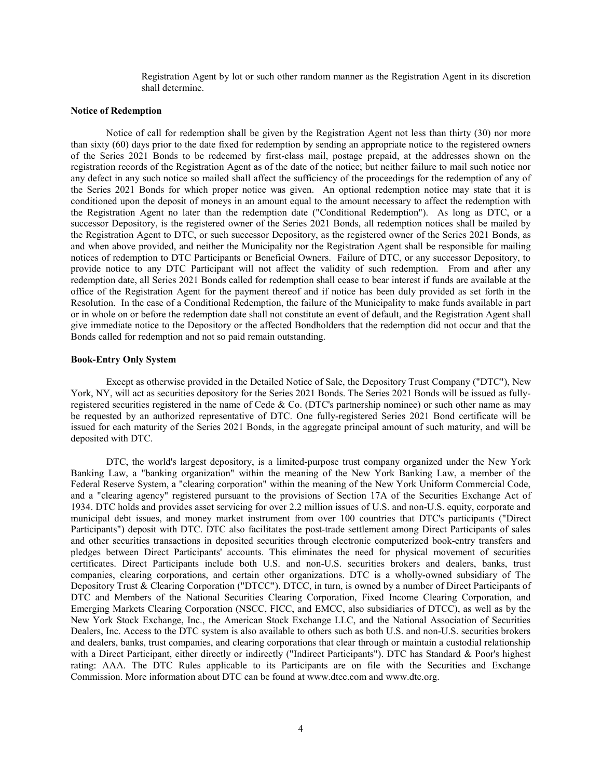Registration Agent by lot or such other random manner as the Registration Agent in its discretion shall determine.

#### **Notice of Redemption**

Notice of call for redemption shall be given by the Registration Agent not less than thirty (30) nor more than sixty (60) days prior to the date fixed for redemption by sending an appropriate notice to the registered owners of the Series 2021 Bonds to be redeemed by first-class mail, postage prepaid, at the addresses shown on the registration records of the Registration Agent as of the date of the notice; but neither failure to mail such notice nor any defect in any such notice so mailed shall affect the sufficiency of the proceedings for the redemption of any of the Series 2021 Bonds for which proper notice was given. An optional redemption notice may state that it is conditioned upon the deposit of moneys in an amount equal to the amount necessary to affect the redemption with the Registration Agent no later than the redemption date ("Conditional Redemption"). As long as DTC, or a successor Depository, is the registered owner of the Series 2021 Bonds, all redemption notices shall be mailed by the Registration Agent to DTC, or such successor Depository, as the registered owner of the Series 2021 Bonds, as and when above provided, and neither the Municipality nor the Registration Agent shall be responsible for mailing notices of redemption to DTC Participants or Beneficial Owners. Failure of DTC, or any successor Depository, to provide notice to any DTC Participant will not affect the validity of such redemption. From and after any redemption date, all Series 2021 Bonds called for redemption shall cease to bear interest if funds are available at the office of the Registration Agent for the payment thereof and if notice has been duly provided as set forth in the Resolution. In the case of a Conditional Redemption, the failure of the Municipality to make funds available in part or in whole on or before the redemption date shall not constitute an event of default, and the Registration Agent shall give immediate notice to the Depository or the affected Bondholders that the redemption did not occur and that the Bonds called for redemption and not so paid remain outstanding.

#### **Book-Entry Only System**

Except as otherwise provided in the Detailed Notice of Sale, the Depository Trust Company ("DTC"), New York, NY, will act as securities depository for the Series 2021 Bonds. The Series 2021 Bonds will be issued as fullyregistered securities registered in the name of Cede & Co. (DTC's partnership nominee) or such other name as may be requested by an authorized representative of DTC. One fully-registered Series 2021 Bond certificate will be issued for each maturity of the Series 2021 Bonds, in the aggregate principal amount of such maturity, and will be deposited with DTC.

DTC, the world's largest depository, is a limited-purpose trust company organized under the New York Banking Law, a "banking organization" within the meaning of the New York Banking Law, a member of the Federal Reserve System, a "clearing corporation" within the meaning of the New York Uniform Commercial Code, and a "clearing agency" registered pursuant to the provisions of Section 17A of the Securities Exchange Act of 1934. DTC holds and provides asset servicing for over 2.2 million issues of U.S. and non-U.S. equity, corporate and municipal debt issues, and money market instrument from over 100 countries that DTC's participants ("Direct Participants") deposit with DTC. DTC also facilitates the post-trade settlement among Direct Participants of sales and other securities transactions in deposited securities through electronic computerized book-entry transfers and pledges between Direct Participants' accounts. This eliminates the need for physical movement of securities certificates. Direct Participants include both U.S. and non-U.S. securities brokers and dealers, banks, trust companies, clearing corporations, and certain other organizations. DTC is a wholly-owned subsidiary of The Depository Trust & Clearing Corporation ("DTCC"). DTCC, in turn, is owned by a number of Direct Participants of DTC and Members of the National Securities Clearing Corporation, Fixed Income Clearing Corporation, and Emerging Markets Clearing Corporation (NSCC, FICC, and EMCC, also subsidiaries of DTCC), as well as by the New York Stock Exchange, Inc., the American Stock Exchange LLC, and the National Association of Securities Dealers, Inc. Access to the DTC system is also available to others such as both U.S. and non-U.S. securities brokers and dealers, banks, trust companies, and clearing corporations that clear through or maintain a custodial relationship with a Direct Participant, either directly or indirectly ("Indirect Participants"). DTC has Standard & Poor's highest rating: AAA. The DTC Rules applicable to its Participants are on file with the Securities and Exchange Commission. More information about DTC can be found at www.dtcc.com and www.dtc.org.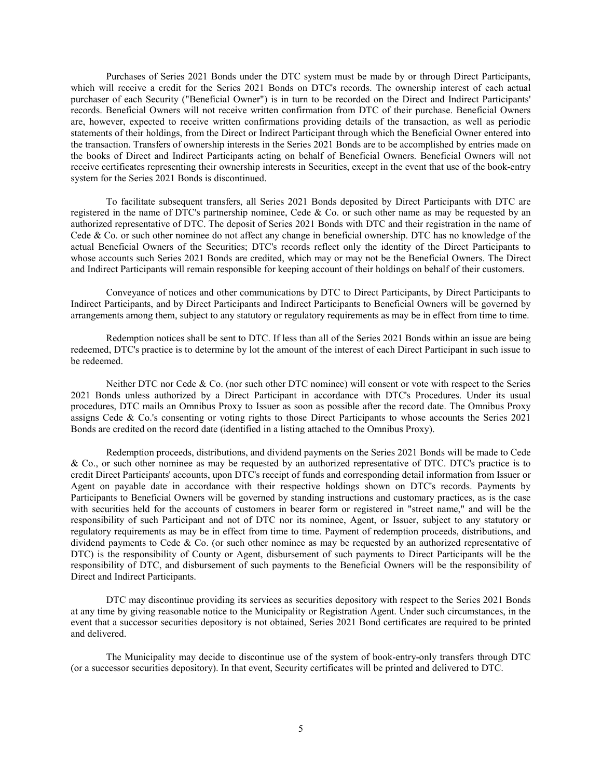Purchases of Series 2021 Bonds under the DTC system must be made by or through Direct Participants, which will receive a credit for the Series 2021 Bonds on DTC's records. The ownership interest of each actual purchaser of each Security ("Beneficial Owner") is in turn to be recorded on the Direct and Indirect Participants' records. Beneficial Owners will not receive written confirmation from DTC of their purchase. Beneficial Owners are, however, expected to receive written confirmations providing details of the transaction, as well as periodic statements of their holdings, from the Direct or Indirect Participant through which the Beneficial Owner entered into the transaction. Transfers of ownership interests in the Series 2021 Bonds are to be accomplished by entries made on the books of Direct and Indirect Participants acting on behalf of Beneficial Owners. Beneficial Owners will not receive certificates representing their ownership interests in Securities, except in the event that use of the book-entry system for the Series 2021 Bonds is discontinued.

To facilitate subsequent transfers, all Series 2021 Bonds deposited by Direct Participants with DTC are registered in the name of DTC's partnership nominee, Cede & Co. or such other name as may be requested by an authorized representative of DTC. The deposit of Series 2021 Bonds with DTC and their registration in the name of Cede & Co. or such other nominee do not affect any change in beneficial ownership. DTC has no knowledge of the actual Beneficial Owners of the Securities; DTC's records reflect only the identity of the Direct Participants to whose accounts such Series 2021 Bonds are credited, which may or may not be the Beneficial Owners. The Direct and Indirect Participants will remain responsible for keeping account of their holdings on behalf of their customers.

Conveyance of notices and other communications by DTC to Direct Participants, by Direct Participants to Indirect Participants, and by Direct Participants and Indirect Participants to Beneficial Owners will be governed by arrangements among them, subject to any statutory or regulatory requirements as may be in effect from time to time.

Redemption notices shall be sent to DTC. If less than all of the Series 2021 Bonds within an issue are being redeemed, DTC's practice is to determine by lot the amount of the interest of each Direct Participant in such issue to be redeemed.

Neither DTC nor Cede & Co. (nor such other DTC nominee) will consent or vote with respect to the Series 2021 Bonds unless authorized by a Direct Participant in accordance with DTC's Procedures. Under its usual procedures, DTC mails an Omnibus Proxy to Issuer as soon as possible after the record date. The Omnibus Proxy assigns Cede & Co.'s consenting or voting rights to those Direct Participants to whose accounts the Series 2021 Bonds are credited on the record date (identified in a listing attached to the Omnibus Proxy).

Redemption proceeds, distributions, and dividend payments on the Series 2021 Bonds will be made to Cede & Co., or such other nominee as may be requested by an authorized representative of DTC. DTC's practice is to credit Direct Participants' accounts, upon DTC's receipt of funds and corresponding detail information from Issuer or Agent on payable date in accordance with their respective holdings shown on DTC's records. Payments by Participants to Beneficial Owners will be governed by standing instructions and customary practices, as is the case with securities held for the accounts of customers in bearer form or registered in "street name," and will be the responsibility of such Participant and not of DTC nor its nominee, Agent, or Issuer, subject to any statutory or regulatory requirements as may be in effect from time to time. Payment of redemption proceeds, distributions, and dividend payments to Cede & Co. (or such other nominee as may be requested by an authorized representative of DTC) is the responsibility of County or Agent, disbursement of such payments to Direct Participants will be the responsibility of DTC, and disbursement of such payments to the Beneficial Owners will be the responsibility of Direct and Indirect Participants.

DTC may discontinue providing its services as securities depository with respect to the Series 2021 Bonds at any time by giving reasonable notice to the Municipality or Registration Agent. Under such circumstances, in the event that a successor securities depository is not obtained, Series 2021 Bond certificates are required to be printed and delivered.

The Municipality may decide to discontinue use of the system of book-entry-only transfers through DTC (or a successor securities depository). In that event, Security certificates will be printed and delivered to DTC.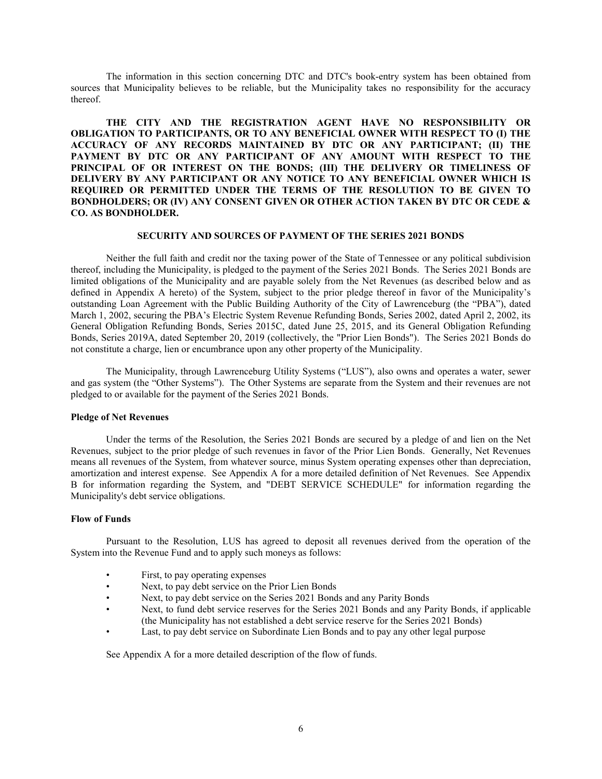The information in this section concerning DTC and DTC's book-entry system has been obtained from sources that Municipality believes to be reliable, but the Municipality takes no responsibility for the accuracy thereof.

**THE CITY AND THE REGISTRATION AGENT HAVE NO RESPONSIBILITY OR OBLIGATION TO PARTICIPANTS, OR TO ANY BENEFICIAL OWNER WITH RESPECT TO (I) THE ACCURACY OF ANY RECORDS MAINTAINED BY DTC OR ANY PARTICIPANT; (II) THE PAYMENT BY DTC OR ANY PARTICIPANT OF ANY AMOUNT WITH RESPECT TO THE PRINCIPAL OF OR INTEREST ON THE BONDS; (III) THE DELIVERY OR TIMELINESS OF DELIVERY BY ANY PARTICIPANT OR ANY NOTICE TO ANY BENEFICIAL OWNER WHICH IS REQUIRED OR PERMITTED UNDER THE TERMS OF THE RESOLUTION TO BE GIVEN TO BONDHOLDERS; OR (IV) ANY CONSENT GIVEN OR OTHER ACTION TAKEN BY DTC OR CEDE & CO. AS BONDHOLDER.**

#### **SECURITY AND SOURCES OF PAYMENT OF THE SERIES 2021 BONDS**

Neither the full faith and credit nor the taxing power of the State of Tennessee or any political subdivision thereof, including the Municipality, is pledged to the payment of the Series 2021 Bonds. The Series 2021 Bonds are limited obligations of the Municipality and are payable solely from the Net Revenues (as described below and as defined in Appendix A hereto) of the System, subject to the prior pledge thereof in favor of the Municipality's outstanding Loan Agreement with the Public Building Authority of the City of Lawrenceburg (the "PBA"), dated March 1, 2002, securing the PBA's Electric System Revenue Refunding Bonds, Series 2002, dated April 2, 2002, its General Obligation Refunding Bonds, Series 2015C, dated June 25, 2015, and its General Obligation Refunding Bonds, Series 2019A, dated September 20, 2019 (collectively, the "Prior Lien Bonds"). The Series 2021 Bonds do not constitute a charge, lien or encumbrance upon any other property of the Municipality.

The Municipality, through Lawrenceburg Utility Systems ("LUS"), also owns and operates a water, sewer and gas system (the "Other Systems"). The Other Systems are separate from the System and their revenues are not pledged to or available for the payment of the Series 2021 Bonds.

#### **Pledge of Net Revenues**

Under the terms of the Resolution, the Series 2021 Bonds are secured by a pledge of and lien on the Net Revenues, subject to the prior pledge of such revenues in favor of the Prior Lien Bonds. Generally, Net Revenues means all revenues of the System, from whatever source, minus System operating expenses other than depreciation, amortization and interest expense. See Appendix A for a more detailed definition of Net Revenues. See Appendix B for information regarding the System, and "DEBT SERVICE SCHEDULE" for information regarding the Municipality's debt service obligations.

### **Flow of Funds**

Pursuant to the Resolution, LUS has agreed to deposit all revenues derived from the operation of the System into the Revenue Fund and to apply such moneys as follows:

- First, to pay operating expenses
- Next, to pay debt service on the Prior Lien Bonds
- Next, to pay debt service on the Series 2021 Bonds and any Parity Bonds
- Next, to fund debt service reserves for the Series 2021 Bonds and any Parity Bonds, if applicable (the Municipality has not established a debt service reserve for the Series 2021 Bonds)
- Last, to pay debt service on Subordinate Lien Bonds and to pay any other legal purpose

See Appendix A for a more detailed description of the flow of funds.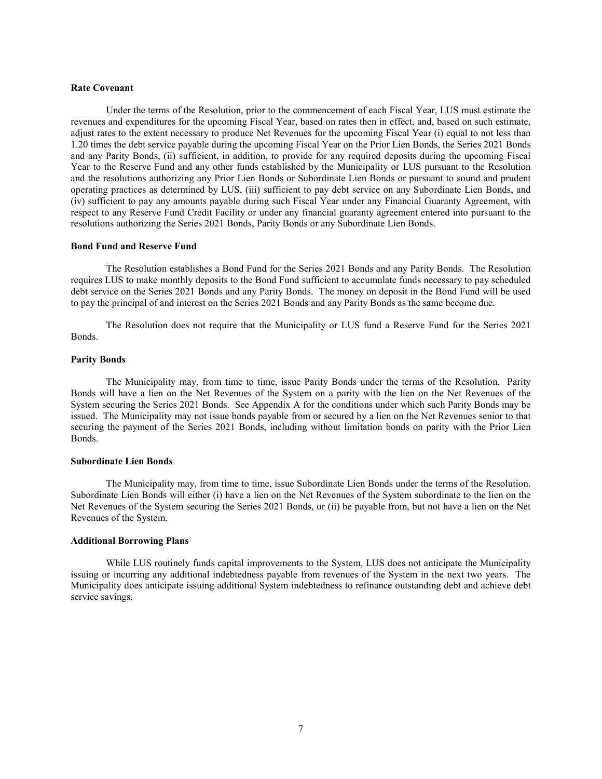#### **Rate Covenant**

Under the terms of the Resolution, prior to the commencement of each Fiscal Year, LUS must estimate the revenues and expenditures for the upcoming Fiscal Year, based on rates then in effect, and, based on such estimate, adjust rates to the extent necessary to produce Net Revenues for the upcoming Fiscal Year (i) equal to not less than 1.20 times the debt service payable during the upcoming Fiscal Year on the Prior Lien Bonds, the Series 2021 Bonds and any Parity Bonds, (ii) sufficient, in addition, to provide for any required deposits during the upcoming Fiscal Year to the Reserve Fund and any other funds established by the Municipality or LUS pursuant to the Resolution and the resolutions authorizing any Prior Lien Bonds or Subordinate Lien Bonds or pursuant to sound and prudent operating practices as determined by LUS, (iii) sufficient to pay debt service on any Subordinate Lien Bonds, and (iv) sufficient to pay any amounts payable during such Fiscal Year under any Financial Guaranty Agreement, with respect to any Reserve Fund Credit Facility or under any financial guaranty agreement entered into pursuant to the resolutions authorizing the Series 2021 Bonds, Parity Bonds or any Subordinate Lien Bonds.

#### **Bond Fund and Reserve Fund**

The Resolution establishes a Bond Fund for the Series 2021 Bonds and any Parity Bonds. The Resolution requires LUS to make monthly deposits to the Bond Fund sufficient to accumulate funds necessary to pay scheduled debt service on the Series 2021 Bonds and any Parity Bonds. The money on deposit in the Bond Fund will be used to pay the principal of and interest on the Series 2021 Bonds and any Parity Bonds as the same become due.

The Resolution does not require that the Municipality or LUS fund a Reserve Fund for the Series 2021 Bonds.

#### **Parity Bonds**

The Municipality may, from time to time, issue Parity Bonds under the terms of the Resolution. Parity Bonds will have a lien on the Net Revenues of the System on a parity with the lien on the Net Revenues of the System securing the Series 2021 Bonds. See Appendix A for the conditions under which such Parity Bonds may be issued. The Municipality may not issue bonds payable from or secured by a lien on the Net Revenues senior to that securing the payment of the Series 2021 Bonds, including without limitation bonds on parity with the Prior Lien Bonds.

#### **Subordinate Lien Bonds**

The Municipality may, from time to time, issue Subordinate Lien Bonds under the terms of the Resolution. Subordinate Lien Bonds will either (i) have a lien on the Net Revenues of the System subordinate to the lien on the Net Revenues of the System securing the Series 2021 Bonds, or (ii) be payable from, but not have a lien on the Net Revenues of the System.

# **Additional Borrowing Plans**

While LUS routinely funds capital improvements to the System, LUS does not anticipate the Municipality issuing or incurring any additional indebtedness payable from revenues of the System in the next two years. The Municipality does anticipate issuing additional System indebtedness to refinance outstanding debt and achieve debt service savings.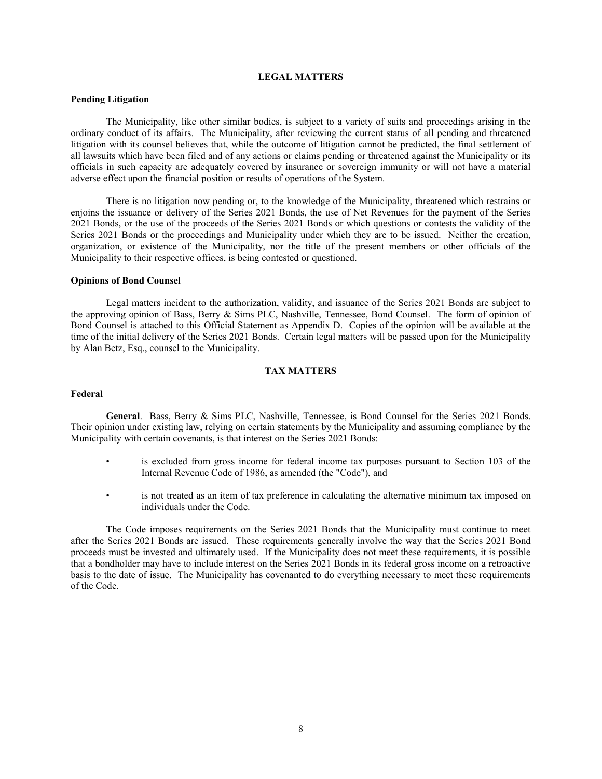# **LEGAL MATTERS**

#### **Pending Litigation**

The Municipality, like other similar bodies, is subject to a variety of suits and proceedings arising in the ordinary conduct of its affairs. The Municipality, after reviewing the current status of all pending and threatened litigation with its counsel believes that, while the outcome of litigation cannot be predicted, the final settlement of all lawsuits which have been filed and of any actions or claims pending or threatened against the Municipality or its officials in such capacity are adequately covered by insurance or sovereign immunity or will not have a material adverse effect upon the financial position or results of operations of the System.

There is no litigation now pending or, to the knowledge of the Municipality, threatened which restrains or enjoins the issuance or delivery of the Series 2021 Bonds, the use of Net Revenues for the payment of the Series 2021 Bonds, or the use of the proceeds of the Series 2021 Bonds or which questions or contests the validity of the Series 2021 Bonds or the proceedings and Municipality under which they are to be issued. Neither the creation, organization, or existence of the Municipality, nor the title of the present members or other officials of the Municipality to their respective offices, is being contested or questioned.

# **Opinions of Bond Counsel**

Legal matters incident to the authorization, validity, and issuance of the Series 2021 Bonds are subject to the approving opinion of Bass, Berry & Sims PLC, Nashville, Tennessee, Bond Counsel. The form of opinion of Bond Counsel is attached to this Official Statement as Appendix D. Copies of the opinion will be available at the time of the initial delivery of the Series 2021 Bonds. Certain legal matters will be passed upon for the Municipality by Alan Betz, Esq., counsel to the Municipality.

### **TAX MATTERS**

#### **Federal**

**General**. Bass, Berry & Sims PLC, Nashville, Tennessee, is Bond Counsel for the Series 2021 Bonds. Their opinion under existing law, relying on certain statements by the Municipality and assuming compliance by the Municipality with certain covenants, is that interest on the Series 2021 Bonds:

- is excluded from gross income for federal income tax purposes pursuant to Section 103 of the Internal Revenue Code of 1986, as amended (the "Code"), and
- is not treated as an item of tax preference in calculating the alternative minimum tax imposed on individuals under the Code.

The Code imposes requirements on the Series 2021 Bonds that the Municipality must continue to meet after the Series 2021 Bonds are issued. These requirements generally involve the way that the Series 2021 Bond proceeds must be invested and ultimately used. If the Municipality does not meet these requirements, it is possible that a bondholder may have to include interest on the Series 2021 Bonds in its federal gross income on a retroactive basis to the date of issue. The Municipality has covenanted to do everything necessary to meet these requirements of the Code.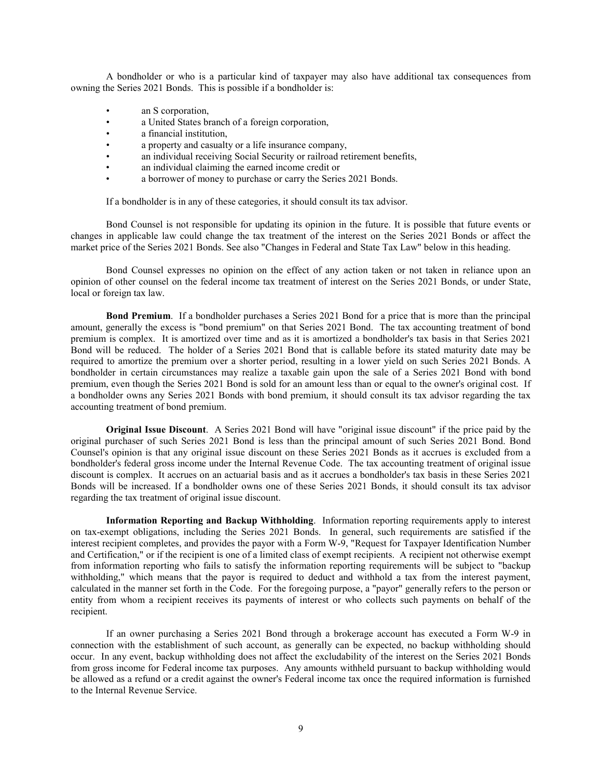A bondholder or who is a particular kind of taxpayer may also have additional tax consequences from owning the Series 2021 Bonds. This is possible if a bondholder is:

- an S corporation,
- a United States branch of a foreign corporation,
- a financial institution,
- a property and casualty or a life insurance company,
- an individual receiving Social Security or railroad retirement benefits,
- an individual claiming the earned income credit or
- a borrower of money to purchase or carry the Series 2021 Bonds.

If a bondholder is in any of these categories, it should consult its tax advisor.

Bond Counsel is not responsible for updating its opinion in the future. It is possible that future events or changes in applicable law could change the tax treatment of the interest on the Series 2021 Bonds or affect the market price of the Series 2021 Bonds. See also "Changes in Federal and State Tax Law" below in this heading.

Bond Counsel expresses no opinion on the effect of any action taken or not taken in reliance upon an opinion of other counsel on the federal income tax treatment of interest on the Series 2021 Bonds, or under State, local or foreign tax law.

**Bond Premium**. If a bondholder purchases a Series 2021 Bond for a price that is more than the principal amount, generally the excess is "bond premium" on that Series 2021 Bond. The tax accounting treatment of bond premium is complex. It is amortized over time and as it is amortized a bondholder's tax basis in that Series 2021 Bond will be reduced. The holder of a Series 2021 Bond that is callable before its stated maturity date may be required to amortize the premium over a shorter period, resulting in a lower yield on such Series 2021 Bonds. A bondholder in certain circumstances may realize a taxable gain upon the sale of a Series 2021 Bond with bond premium, even though the Series 2021 Bond is sold for an amount less than or equal to the owner's original cost. If a bondholder owns any Series 2021 Bonds with bond premium, it should consult its tax advisor regarding the tax accounting treatment of bond premium.

**Original Issue Discount**. A Series 2021 Bond will have "original issue discount" if the price paid by the original purchaser of such Series 2021 Bond is less than the principal amount of such Series 2021 Bond. Bond Counsel's opinion is that any original issue discount on these Series 2021 Bonds as it accrues is excluded from a bondholder's federal gross income under the Internal Revenue Code. The tax accounting treatment of original issue discount is complex. It accrues on an actuarial basis and as it accrues a bondholder's tax basis in these Series 2021 Bonds will be increased. If a bondholder owns one of these Series 2021 Bonds, it should consult its tax advisor regarding the tax treatment of original issue discount.

**Information Reporting and Backup Withholding**. Information reporting requirements apply to interest on tax-exempt obligations, including the Series 2021 Bonds. In general, such requirements are satisfied if the interest recipient completes, and provides the payor with a Form W-9, "Request for Taxpayer Identification Number and Certification," or if the recipient is one of a limited class of exempt recipients. A recipient not otherwise exempt from information reporting who fails to satisfy the information reporting requirements will be subject to "backup withholding," which means that the payor is required to deduct and withhold a tax from the interest payment, calculated in the manner set forth in the Code. For the foregoing purpose, a "payor" generally refers to the person or entity from whom a recipient receives its payments of interest or who collects such payments on behalf of the recipient.

If an owner purchasing a Series 2021 Bond through a brokerage account has executed a Form W-9 in connection with the establishment of such account, as generally can be expected, no backup withholding should occur. In any event, backup withholding does not affect the excludability of the interest on the Series 2021 Bonds from gross income for Federal income tax purposes. Any amounts withheld pursuant to backup withholding would be allowed as a refund or a credit against the owner's Federal income tax once the required information is furnished to the Internal Revenue Service.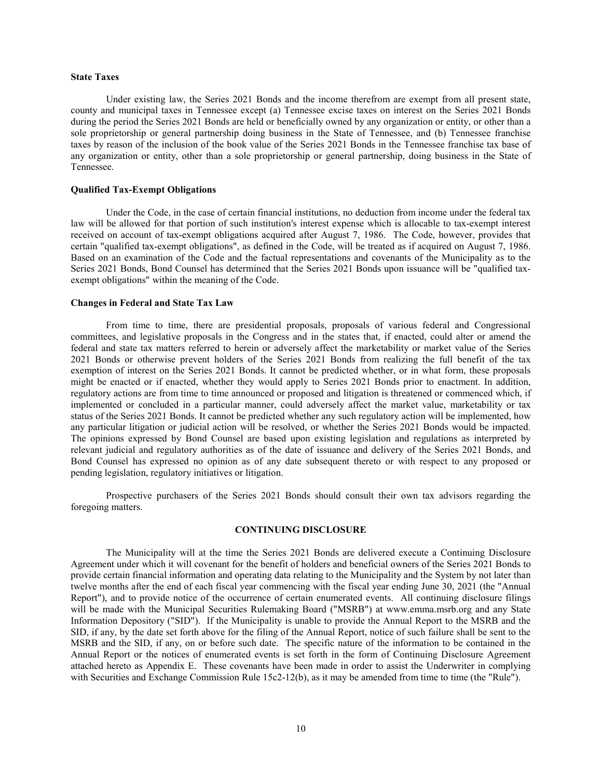#### **State Taxes**

Under existing law, the Series 2021 Bonds and the income therefrom are exempt from all present state, county and municipal taxes in Tennessee except (a) Tennessee excise taxes on interest on the Series 2021 Bonds during the period the Series 2021 Bonds are held or beneficially owned by any organization or entity, or other than a sole proprietorship or general partnership doing business in the State of Tennessee, and (b) Tennessee franchise taxes by reason of the inclusion of the book value of the Series 2021 Bonds in the Tennessee franchise tax base of any organization or entity, other than a sole proprietorship or general partnership, doing business in the State of Tennessee.

# **Qualified Tax-Exempt Obligations**

Under the Code, in the case of certain financial institutions, no deduction from income under the federal tax law will be allowed for that portion of such institution's interest expense which is allocable to tax-exempt interest received on account of tax-exempt obligations acquired after August 7, 1986. The Code, however, provides that certain "qualified tax-exempt obligations", as defined in the Code, will be treated as if acquired on August 7, 1986. Based on an examination of the Code and the factual representations and covenants of the Municipality as to the Series 2021 Bonds, Bond Counsel has determined that the Series 2021 Bonds upon issuance will be "qualified taxexempt obligations" within the meaning of the Code.

#### **Changes in Federal and State Tax Law**

From time to time, there are presidential proposals, proposals of various federal and Congressional committees, and legislative proposals in the Congress and in the states that, if enacted, could alter or amend the federal and state tax matters referred to herein or adversely affect the marketability or market value of the Series 2021 Bonds or otherwise prevent holders of the Series 2021 Bonds from realizing the full benefit of the tax exemption of interest on the Series 2021 Bonds. It cannot be predicted whether, or in what form, these proposals might be enacted or if enacted, whether they would apply to Series 2021 Bonds prior to enactment. In addition, regulatory actions are from time to time announced or proposed and litigation is threatened or commenced which, if implemented or concluded in a particular manner, could adversely affect the market value, marketability or tax status of the Series 2021 Bonds. It cannot be predicted whether any such regulatory action will be implemented, how any particular litigation or judicial action will be resolved, or whether the Series 2021 Bonds would be impacted. The opinions expressed by Bond Counsel are based upon existing legislation and regulations as interpreted by relevant judicial and regulatory authorities as of the date of issuance and delivery of the Series 2021 Bonds, and Bond Counsel has expressed no opinion as of any date subsequent thereto or with respect to any proposed or pending legislation, regulatory initiatives or litigation.

Prospective purchasers of the Series 2021 Bonds should consult their own tax advisors regarding the foregoing matters.

# **CONTINUING DISCLOSURE**

The Municipality will at the time the Series 2021 Bonds are delivered execute a Continuing Disclosure Agreement under which it will covenant for the benefit of holders and beneficial owners of the Series 2021 Bonds to provide certain financial information and operating data relating to the Municipality and the System by not later than twelve months after the end of each fiscal year commencing with the fiscal year ending June 30, 2021 (the "Annual Report"), and to provide notice of the occurrence of certain enumerated events. All continuing disclosure filings will be made with the Municipal Securities Rulemaking Board ("MSRB") at www.emma.msrb.org and any State Information Depository ("SID"). If the Municipality is unable to provide the Annual Report to the MSRB and the SID, if any, by the date set forth above for the filing of the Annual Report, notice of such failure shall be sent to the MSRB and the SID, if any, on or before such date. The specific nature of the information to be contained in the Annual Report or the notices of enumerated events is set forth in the form of Continuing Disclosure Agreement attached hereto as Appendix E. These covenants have been made in order to assist the Underwriter in complying with Securities and Exchange Commission Rule 15c2-12(b), as it may be amended from time to time (the "Rule").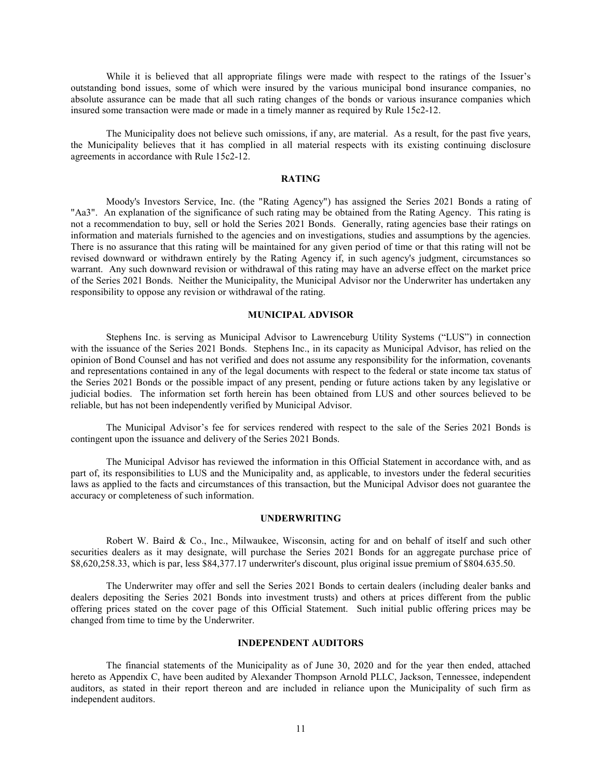While it is believed that all appropriate filings were made with respect to the ratings of the Issuer's outstanding bond issues, some of which were insured by the various municipal bond insurance companies, no absolute assurance can be made that all such rating changes of the bonds or various insurance companies which insured some transaction were made or made in a timely manner as required by Rule 15c2-12.

The Municipality does not believe such omissions, if any, are material. As a result, for the past five years, the Municipality believes that it has complied in all material respects with its existing continuing disclosure agreements in accordance with Rule 15c2-12.

#### **RATING**

Moody's Investors Service, Inc. (the "Rating Agency") has assigned the Series 2021 Bonds a rating of "Aa3". An explanation of the significance of such rating may be obtained from the Rating Agency. This rating is not a recommendation to buy, sell or hold the Series 2021 Bonds. Generally, rating agencies base their ratings on information and materials furnished to the agencies and on investigations, studies and assumptions by the agencies. There is no assurance that this rating will be maintained for any given period of time or that this rating will not be revised downward or withdrawn entirely by the Rating Agency if, in such agency's judgment, circumstances so warrant. Any such downward revision or withdrawal of this rating may have an adverse effect on the market price of the Series 2021 Bonds. Neither the Municipality, the Municipal Advisor nor the Underwriter has undertaken any responsibility to oppose any revision or withdrawal of the rating.

### **MUNICIPAL ADVISOR**

Stephens Inc. is serving as Municipal Advisor to Lawrenceburg Utility Systems ("LUS") in connection with the issuance of the Series 2021 Bonds. Stephens Inc., in its capacity as Municipal Advisor, has relied on the opinion of Bond Counsel and has not verified and does not assume any responsibility for the information, covenants and representations contained in any of the legal documents with respect to the federal or state income tax status of the Series 2021 Bonds or the possible impact of any present, pending or future actions taken by any legislative or judicial bodies. The information set forth herein has been obtained from LUS and other sources believed to be reliable, but has not been independently verified by Municipal Advisor.

The Municipal Advisor's fee for services rendered with respect to the sale of the Series 2021 Bonds is contingent upon the issuance and delivery of the Series 2021 Bonds.

The Municipal Advisor has reviewed the information in this Official Statement in accordance with, and as part of, its responsibilities to LUS and the Municipality and, as applicable, to investors under the federal securities laws as applied to the facts and circumstances of this transaction, but the Municipal Advisor does not guarantee the accuracy or completeness of such information.

### **UNDERWRITING**

Robert W. Baird & Co., Inc., Milwaukee, Wisconsin, acting for and on behalf of itself and such other securities dealers as it may designate, will purchase the Series 2021 Bonds for an aggregate purchase price of \$8,620,258.33, which is par, less \$84,377.17 underwriter's discount, plus original issue premium of \$804.635.50.

The Underwriter may offer and sell the Series 2021 Bonds to certain dealers (including dealer banks and dealers depositing the Series 2021 Bonds into investment trusts) and others at prices different from the public offering prices stated on the cover page of this Official Statement. Such initial public offering prices may be changed from time to time by the Underwriter.

### **INDEPENDENT AUDITORS**

The financial statements of the Municipality as of June 30, 2020 and for the year then ended, attached hereto as Appendix C, have been audited by Alexander Thompson Arnold PLLC, Jackson, Tennessee, independent auditors, as stated in their report thereon and are included in reliance upon the Municipality of such firm as independent auditors.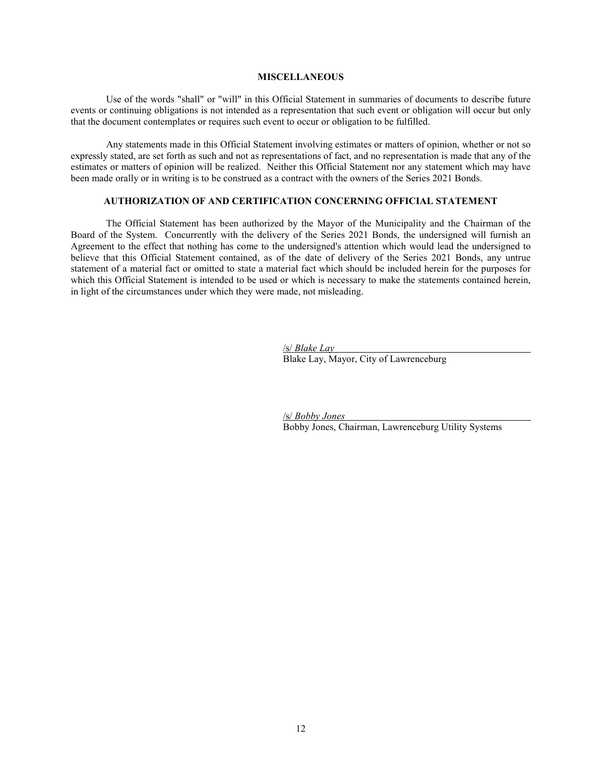# **MISCELLANEOUS**

Use of the words "shall" or "will" in this Official Statement in summaries of documents to describe future events or continuing obligations is not intended as a representation that such event or obligation will occur but only that the document contemplates or requires such event to occur or obligation to be fulfilled.

Any statements made in this Official Statement involving estimates or matters of opinion, whether or not so expressly stated, are set forth as such and not as representations of fact, and no representation is made that any of the estimates or matters of opinion will be realized. Neither this Official Statement nor any statement which may have been made orally or in writing is to be construed as a contract with the owners of the Series 2021 Bonds.

# **AUTHORIZATION OF AND CERTIFICATION CONCERNING OFFICIAL STATEMENT**

The Official Statement has been authorized by the Mayor of the Municipality and the Chairman of the Board of the System. Concurrently with the delivery of the Series 2021 Bonds, the undersigned will furnish an Agreement to the effect that nothing has come to the undersigned's attention which would lead the undersigned to believe that this Official Statement contained, as of the date of delivery of the Series 2021 Bonds, any untrue statement of a material fact or omitted to state a material fact which should be included herein for the purposes for which this Official Statement is intended to be used or which is necessary to make the statements contained herein, in light of the circumstances under which they were made, not misleading.

> /s/ *Blake Lay* Blake Lay, Mayor, City of Lawrenceburg

/s/ *Bobby Jones* Bobby Jones, Chairman, Lawrenceburg Utility Systems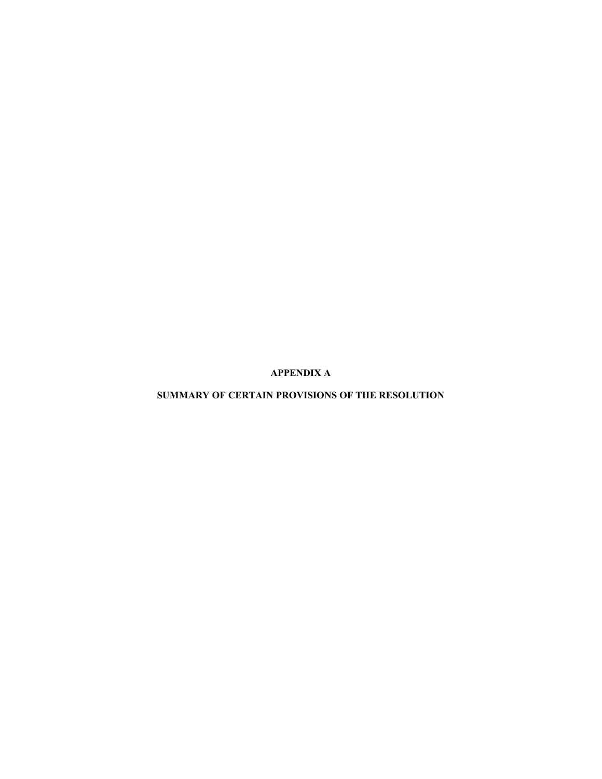**APPENDIX A**

**SUMMARY OF CERTAIN PROVISIONS OF THE RESOLUTION**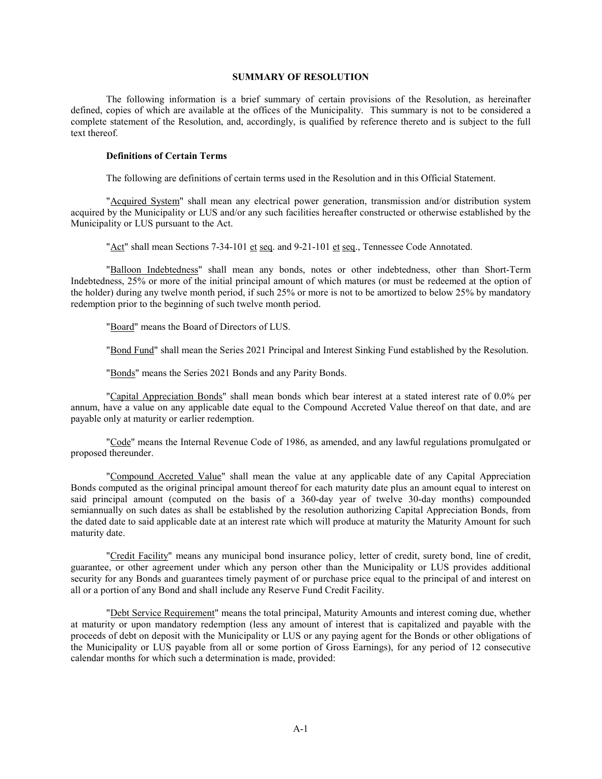# **SUMMARY OF RESOLUTION**

The following information is a brief summary of certain provisions of the Resolution, as hereinafter defined, copies of which are available at the offices of the Municipality. This summary is not to be considered a complete statement of the Resolution, and, accordingly, is qualified by reference thereto and is subject to the full text thereof.

### **Definitions of Certain Terms**

The following are definitions of certain terms used in the Resolution and in this Official Statement.

"Acquired System" shall mean any electrical power generation, transmission and/or distribution system acquired by the Municipality or LUS and/or any such facilities hereafter constructed or otherwise established by the Municipality or LUS pursuant to the Act.

"Act" shall mean Sections 7-34-101 et seq. and 9-21-101 et seq., Tennessee Code Annotated.

"Balloon Indebtedness" shall mean any bonds, notes or other indebtedness, other than Short-Term Indebtedness, 25% or more of the initial principal amount of which matures (or must be redeemed at the option of the holder) during any twelve month period, if such 25% or more is not to be amortized to below 25% by mandatory redemption prior to the beginning of such twelve month period.

"Board" means the Board of Directors of LUS.

"Bond Fund" shall mean the Series 2021 Principal and Interest Sinking Fund established by the Resolution.

"Bonds" means the Series 2021 Bonds and any Parity Bonds.

"Capital Appreciation Bonds" shall mean bonds which bear interest at a stated interest rate of 0.0% per annum, have a value on any applicable date equal to the Compound Accreted Value thereof on that date, and are payable only at maturity or earlier redemption.

"Code" means the Internal Revenue Code of 1986, as amended, and any lawful regulations promulgated or proposed thereunder.

"Compound Accreted Value" shall mean the value at any applicable date of any Capital Appreciation Bonds computed as the original principal amount thereof for each maturity date plus an amount equal to interest on said principal amount (computed on the basis of a 360-day year of twelve 30-day months) compounded semiannually on such dates as shall be established by the resolution authorizing Capital Appreciation Bonds, from the dated date to said applicable date at an interest rate which will produce at maturity the Maturity Amount for such maturity date.

"Credit Facility" means any municipal bond insurance policy, letter of credit, surety bond, line of credit, guarantee, or other agreement under which any person other than the Municipality or LUS provides additional security for any Bonds and guarantees timely payment of or purchase price equal to the principal of and interest on all or a portion of any Bond and shall include any Reserve Fund Credit Facility.

"Debt Service Requirement" means the total principal, Maturity Amounts and interest coming due, whether at maturity or upon mandatory redemption (less any amount of interest that is capitalized and payable with the proceeds of debt on deposit with the Municipality or LUS or any paying agent for the Bonds or other obligations of the Municipality or LUS payable from all or some portion of Gross Earnings), for any period of 12 consecutive calendar months for which such a determination is made, provided: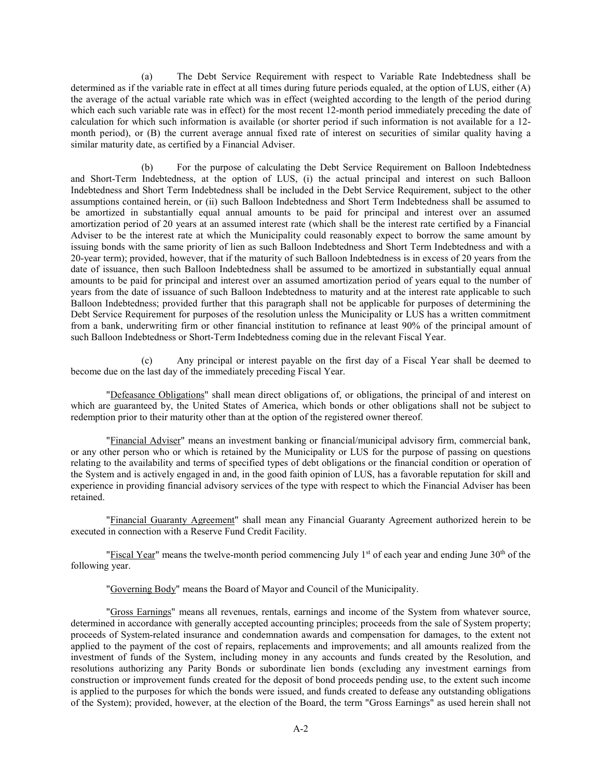(a) The Debt Service Requirement with respect to Variable Rate Indebtedness shall be determined as if the variable rate in effect at all times during future periods equaled, at the option of LUS, either (A) the average of the actual variable rate which was in effect (weighted according to the length of the period during which each such variable rate was in effect) for the most recent 12-month period immediately preceding the date of calculation for which such information is available (or shorter period if such information is not available for a 12 month period), or (B) the current average annual fixed rate of interest on securities of similar quality having a similar maturity date, as certified by a Financial Adviser.

(b) For the purpose of calculating the Debt Service Requirement on Balloon Indebtedness and Short-Term Indebtedness, at the option of LUS, (i) the actual principal and interest on such Balloon Indebtedness and Short Term Indebtedness shall be included in the Debt Service Requirement, subject to the other assumptions contained herein, or (ii) such Balloon Indebtedness and Short Term Indebtedness shall be assumed to be amortized in substantially equal annual amounts to be paid for principal and interest over an assumed amortization period of 20 years at an assumed interest rate (which shall be the interest rate certified by a Financial Adviser to be the interest rate at which the Municipality could reasonably expect to borrow the same amount by issuing bonds with the same priority of lien as such Balloon Indebtedness and Short Term Indebtedness and with a 20-year term); provided, however, that if the maturity of such Balloon Indebtedness is in excess of 20 years from the date of issuance, then such Balloon Indebtedness shall be assumed to be amortized in substantially equal annual amounts to be paid for principal and interest over an assumed amortization period of years equal to the number of years from the date of issuance of such Balloon Indebtedness to maturity and at the interest rate applicable to such Balloon Indebtedness; provided further that this paragraph shall not be applicable for purposes of determining the Debt Service Requirement for purposes of the resolution unless the Municipality or LUS has a written commitment from a bank, underwriting firm or other financial institution to refinance at least 90% of the principal amount of such Balloon Indebtedness or Short-Term Indebtedness coming due in the relevant Fiscal Year.

Any principal or interest payable on the first day of a Fiscal Year shall be deemed to become due on the last day of the immediately preceding Fiscal Year.

"Defeasance Obligations" shall mean direct obligations of, or obligations, the principal of and interest on which are guaranteed by, the United States of America, which bonds or other obligations shall not be subject to redemption prior to their maturity other than at the option of the registered owner thereof.

"Financial Adviser" means an investment banking or financial/municipal advisory firm, commercial bank, or any other person who or which is retained by the Municipality or LUS for the purpose of passing on questions relating to the availability and terms of specified types of debt obligations or the financial condition or operation of the System and is actively engaged in and, in the good faith opinion of LUS, has a favorable reputation for skill and experience in providing financial advisory services of the type with respect to which the Financial Adviser has been retained.

"Financial Guaranty Agreement" shall mean any Financial Guaranty Agreement authorized herein to be executed in connection with a Reserve Fund Credit Facility.

"Fiscal Year" means the twelve-month period commencing July 1<sup>st</sup> of each year and ending June  $30<sup>th</sup>$  of the following year.

"Governing Body" means the Board of Mayor and Council of the Municipality.

"Gross Earnings" means all revenues, rentals, earnings and income of the System from whatever source, determined in accordance with generally accepted accounting principles; proceeds from the sale of System property; proceeds of System-related insurance and condemnation awards and compensation for damages, to the extent not applied to the payment of the cost of repairs, replacements and improvements; and all amounts realized from the investment of funds of the System, including money in any accounts and funds created by the Resolution, and resolutions authorizing any Parity Bonds or subordinate lien bonds (excluding any investment earnings from construction or improvement funds created for the deposit of bond proceeds pending use, to the extent such income is applied to the purposes for which the bonds were issued, and funds created to defease any outstanding obligations of the System); provided, however, at the election of the Board, the term "Gross Earnings" as used herein shall not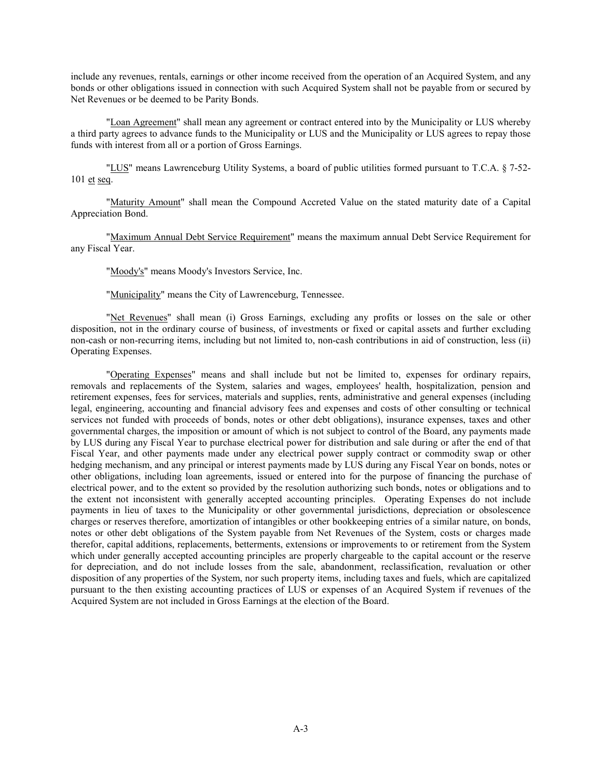include any revenues, rentals, earnings or other income received from the operation of an Acquired System, and any bonds or other obligations issued in connection with such Acquired System shall not be payable from or secured by Net Revenues or be deemed to be Parity Bonds.

"Loan Agreement" shall mean any agreement or contract entered into by the Municipality or LUS whereby a third party agrees to advance funds to the Municipality or LUS and the Municipality or LUS agrees to repay those funds with interest from all or a portion of Gross Earnings.

"LUS" means Lawrenceburg Utility Systems, a board of public utilities formed pursuant to T.C.A. § 7-52- 101 et seq.

"Maturity Amount" shall mean the Compound Accreted Value on the stated maturity date of a Capital Appreciation Bond.

"Maximum Annual Debt Service Requirement" means the maximum annual Debt Service Requirement for any Fiscal Year.

"Moody's" means Moody's Investors Service, Inc.

"Municipality" means the City of Lawrenceburg, Tennessee.

"Net Revenues" shall mean (i) Gross Earnings, excluding any profits or losses on the sale or other disposition, not in the ordinary course of business, of investments or fixed or capital assets and further excluding non-cash or non-recurring items, including but not limited to, non-cash contributions in aid of construction, less (ii) Operating Expenses.

"Operating Expenses" means and shall include but not be limited to, expenses for ordinary repairs, removals and replacements of the System, salaries and wages, employees' health, hospitalization, pension and retirement expenses, fees for services, materials and supplies, rents, administrative and general expenses (including legal, engineering, accounting and financial advisory fees and expenses and costs of other consulting or technical services not funded with proceeds of bonds, notes or other debt obligations), insurance expenses, taxes and other governmental charges, the imposition or amount of which is not subject to control of the Board, any payments made by LUS during any Fiscal Year to purchase electrical power for distribution and sale during or after the end of that Fiscal Year, and other payments made under any electrical power supply contract or commodity swap or other hedging mechanism, and any principal or interest payments made by LUS during any Fiscal Year on bonds, notes or other obligations, including loan agreements, issued or entered into for the purpose of financing the purchase of electrical power, and to the extent so provided by the resolution authorizing such bonds, notes or obligations and to the extent not inconsistent with generally accepted accounting principles. Operating Expenses do not include payments in lieu of taxes to the Municipality or other governmental jurisdictions, depreciation or obsolescence charges or reserves therefore, amortization of intangibles or other bookkeeping entries of a similar nature, on bonds, notes or other debt obligations of the System payable from Net Revenues of the System, costs or charges made therefor, capital additions, replacements, betterments, extensions or improvements to or retirement from the System which under generally accepted accounting principles are properly chargeable to the capital account or the reserve for depreciation, and do not include losses from the sale, abandonment, reclassification, revaluation or other disposition of any properties of the System, nor such property items, including taxes and fuels, which are capitalized pursuant to the then existing accounting practices of LUS or expenses of an Acquired System if revenues of the Acquired System are not included in Gross Earnings at the election of the Board.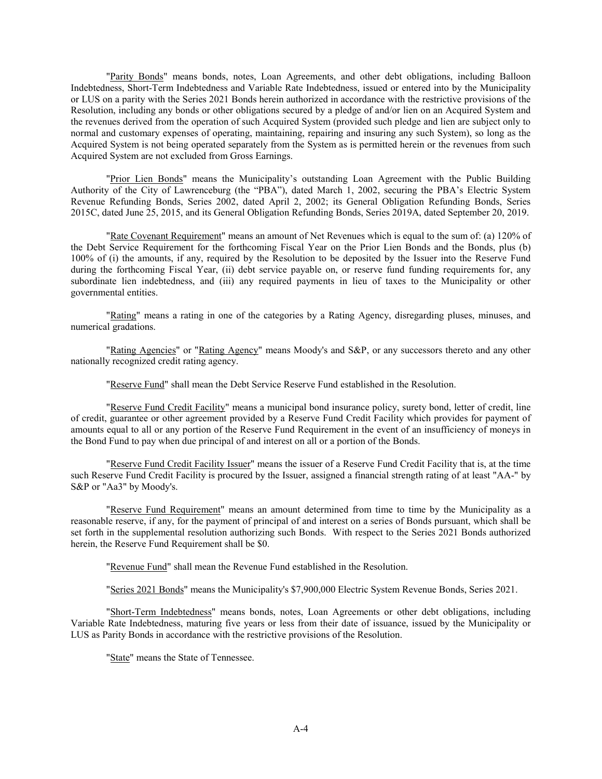"Parity Bonds" means bonds, notes, Loan Agreements, and other debt obligations, including Balloon Indebtedness, Short-Term Indebtedness and Variable Rate Indebtedness, issued or entered into by the Municipality or LUS on a parity with the Series 2021 Bonds herein authorized in accordance with the restrictive provisions of the Resolution, including any bonds or other obligations secured by a pledge of and/or lien on an Acquired System and the revenues derived from the operation of such Acquired System (provided such pledge and lien are subject only to normal and customary expenses of operating, maintaining, repairing and insuring any such System), so long as the Acquired System is not being operated separately from the System as is permitted herein or the revenues from such Acquired System are not excluded from Gross Earnings.

"Prior Lien Bonds" means the Municipality's outstanding Loan Agreement with the Public Building Authority of the City of Lawrenceburg (the "PBA"), dated March 1, 2002, securing the PBA's Electric System Revenue Refunding Bonds, Series 2002, dated April 2, 2002; its General Obligation Refunding Bonds, Series 2015C, dated June 25, 2015, and its General Obligation Refunding Bonds, Series 2019A, dated September 20, 2019.

"Rate Covenant Requirement" means an amount of Net Revenues which is equal to the sum of: (a) 120% of the Debt Service Requirement for the forthcoming Fiscal Year on the Prior Lien Bonds and the Bonds, plus (b) 100% of (i) the amounts, if any, required by the Resolution to be deposited by the Issuer into the Reserve Fund during the forthcoming Fiscal Year, (ii) debt service payable on, or reserve fund funding requirements for, any subordinate lien indebtedness, and (iii) any required payments in lieu of taxes to the Municipality or other governmental entities.

"Rating" means a rating in one of the categories by a Rating Agency, disregarding pluses, minuses, and numerical gradations.

"Rating Agencies" or "Rating Agency" means Moody's and S&P, or any successors thereto and any other nationally recognized credit rating agency.

"Reserve Fund" shall mean the Debt Service Reserve Fund established in the Resolution.

"Reserve Fund Credit Facility" means a municipal bond insurance policy, surety bond, letter of credit, line of credit, guarantee or other agreement provided by a Reserve Fund Credit Facility which provides for payment of amounts equal to all or any portion of the Reserve Fund Requirement in the event of an insufficiency of moneys in the Bond Fund to pay when due principal of and interest on all or a portion of the Bonds.

"Reserve Fund Credit Facility Issuer" means the issuer of a Reserve Fund Credit Facility that is, at the time such Reserve Fund Credit Facility is procured by the Issuer, assigned a financial strength rating of at least "AA-" by S&P or "Aa3" by Moody's.

"Reserve Fund Requirement" means an amount determined from time to time by the Municipality as a reasonable reserve, if any, for the payment of principal of and interest on a series of Bonds pursuant, which shall be set forth in the supplemental resolution authorizing such Bonds. With respect to the Series 2021 Bonds authorized herein, the Reserve Fund Requirement shall be \$0.

"Revenue Fund" shall mean the Revenue Fund established in the Resolution.

"Series 2021 Bonds" means the Municipality's \$7,900,000 Electric System Revenue Bonds, Series 2021.

"Short-Term Indebtedness" means bonds, notes, Loan Agreements or other debt obligations, including Variable Rate Indebtedness, maturing five years or less from their date of issuance, issued by the Municipality or LUS as Parity Bonds in accordance with the restrictive provisions of the Resolution.

"State" means the State of Tennessee.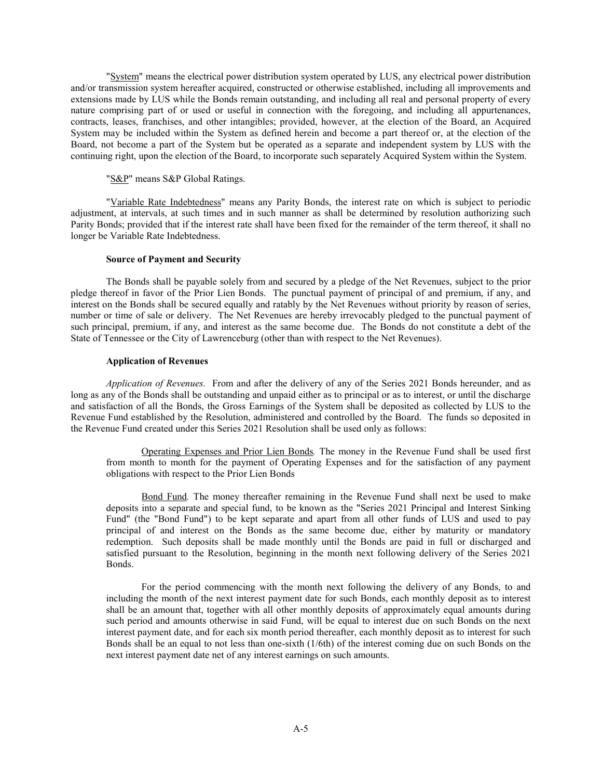"System" means the electrical power distribution system operated by LUS, any electrical power distribution and/or transmission system hereafter acquired, constructed or otherwise established, including all improvements and extensions made by LUS while the Bonds remain outstanding, and including all real and personal property of every nature comprising part of or used or useful in connection with the foregoing, and including all appurtenances, contracts, leases, franchises, and other intangibles; provided, however, at the election of the Board, an Acquired System may be included within the System as defined herein and become a part thereof or, at the election of the Board, not become a part of the System but be operated as a separate and independent system by LUS with the continuing right, upon the election of the Board, to incorporate such separately Acquired System within the System.

"S&P" means S&P Global Ratings.

"Variable Rate Indebtedness" means any Parity Bonds, the interest rate on which is subject to periodic adjustment, at intervals, at such times and in such manner as shall be determined by resolution authorizing such Parity Bonds; provided that if the interest rate shall have been fixed for the remainder of the term thereof, it shall no longer be Variable Rate Indebtedness.

# **Source of Payment and Security**

The Bonds shall be payable solely from and secured by a pledge of the Net Revenues, subject to the prior pledge thereof in favor of the Prior Lien Bonds. The punctual payment of principal of and premium, if any, and interest on the Bonds shall be secured equally and ratably by the Net Revenues without priority by reason of series, number or time of sale or delivery. The Net Revenues are hereby irrevocably pledged to the punctual payment of such principal, premium, if any, and interest as the same become due. The Bonds do not constitute a debt of the State of Tennessee or the City of Lawrenceburg (other than with respect to the Net Revenues).

#### **Application of Revenues**

*Application of Revenues.* From and after the delivery of any of the Series 2021 Bonds hereunder, and as long as any of the Bonds shall be outstanding and unpaid either as to principal or as to interest, or until the discharge and satisfaction of all the Bonds, the Gross Earnings of the System shall be deposited as collected by LUS to the Revenue Fund established by the Resolution, administered and controlled by the Board. The funds so deposited in the Revenue Fund created under this Series 2021 Resolution shall be used only as follows:

Operating Expenses and Prior Lien Bonds*.* The money in the Revenue Fund shall be used first from month to month for the payment of Operating Expenses and for the satisfaction of any payment obligations with respect to the Prior Lien Bonds

Bond Fund*.* The money thereafter remaining in the Revenue Fund shall next be used to make deposits into a separate and special fund, to be known as the "Series 2021 Principal and Interest Sinking Fund" (the "Bond Fund") to be kept separate and apart from all other funds of LUS and used to pay principal of and interest on the Bonds as the same become due, either by maturity or mandatory redemption. Such deposits shall be made monthly until the Bonds are paid in full or discharged and satisfied pursuant to the Resolution, beginning in the month next following delivery of the Series 2021 Bonds.

For the period commencing with the month next following the delivery of any Bonds, to and including the month of the next interest payment date for such Bonds, each monthly deposit as to interest shall be an amount that, together with all other monthly deposits of approximately equal amounts during such period and amounts otherwise in said Fund, will be equal to interest due on such Bonds on the next interest payment date, and for each six month period thereafter, each monthly deposit as to interest for such Bonds shall be an equal to not less than one-sixth (1/6th) of the interest coming due on such Bonds on the next interest payment date net of any interest earnings on such amounts.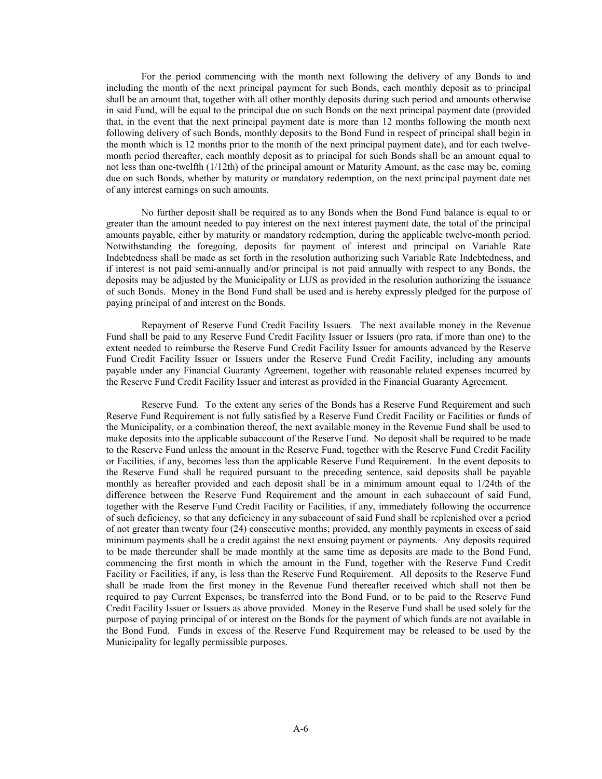For the period commencing with the month next following the delivery of any Bonds to and including the month of the next principal payment for such Bonds, each monthly deposit as to principal shall be an amount that, together with all other monthly deposits during such period and amounts otherwise in said Fund, will be equal to the principal due on such Bonds on the next principal payment date (provided that, in the event that the next principal payment date is more than 12 months following the month next following delivery of such Bonds, monthly deposits to the Bond Fund in respect of principal shall begin in the month which is 12 months prior to the month of the next principal payment date), and for each twelvemonth period thereafter, each monthly deposit as to principal for such Bonds shall be an amount equal to not less than one-twelfth (1/12th) of the principal amount or Maturity Amount, as the case may be, coming due on such Bonds, whether by maturity or mandatory redemption, on the next principal payment date net of any interest earnings on such amounts.

No further deposit shall be required as to any Bonds when the Bond Fund balance is equal to or greater than the amount needed to pay interest on the next interest payment date, the total of the principal amounts payable, either by maturity or mandatory redemption, during the applicable twelve-month period. Notwithstanding the foregoing, deposits for payment of interest and principal on Variable Rate Indebtedness shall be made as set forth in the resolution authorizing such Variable Rate Indebtedness, and if interest is not paid semi-annually and/or principal is not paid annually with respect to any Bonds, the deposits may be adjusted by the Municipality or LUS as provided in the resolution authorizing the issuance of such Bonds. Money in the Bond Fund shall be used and is hereby expressly pledged for the purpose of paying principal of and interest on the Bonds.

Repayment of Reserve Fund Credit Facility Issuers*.* The next available money in the Revenue Fund shall be paid to any Reserve Fund Credit Facility Issuer or Issuers (pro rata, if more than one) to the extent needed to reimburse the Reserve Fund Credit Facility Issuer for amounts advanced by the Reserve Fund Credit Facility Issuer or Issuers under the Reserve Fund Credit Facility, including any amounts payable under any Financial Guaranty Agreement, together with reasonable related expenses incurred by the Reserve Fund Credit Facility Issuer and interest as provided in the Financial Guaranty Agreement.

Reserve Fund*.* To the extent any series of the Bonds has a Reserve Fund Requirement and such Reserve Fund Requirement is not fully satisfied by a Reserve Fund Credit Facility or Facilities or funds of the Municipality, or a combination thereof, the next available money in the Revenue Fund shall be used to make deposits into the applicable subaccount of the Reserve Fund. No deposit shall be required to be made to the Reserve Fund unless the amount in the Reserve Fund, together with the Reserve Fund Credit Facility or Facilities, if any, becomes less than the applicable Reserve Fund Requirement. In the event deposits to the Reserve Fund shall be required pursuant to the preceding sentence, said deposits shall be payable monthly as hereafter provided and each deposit shall be in a minimum amount equal to 1/24th of the difference between the Reserve Fund Requirement and the amount in each subaccount of said Fund, together with the Reserve Fund Credit Facility or Facilities, if any, immediately following the occurrence of such deficiency, so that any deficiency in any subaccount of said Fund shall be replenished over a period of not greater than twenty four (24) consecutive months; provided, any monthly payments in excess of said minimum payments shall be a credit against the next ensuing payment or payments. Any deposits required to be made thereunder shall be made monthly at the same time as deposits are made to the Bond Fund, commencing the first month in which the amount in the Fund, together with the Reserve Fund Credit Facility or Facilities, if any, is less than the Reserve Fund Requirement. All deposits to the Reserve Fund shall be made from the first money in the Revenue Fund thereafter received which shall not then be required to pay Current Expenses, be transferred into the Bond Fund, or to be paid to the Reserve Fund Credit Facility Issuer or Issuers as above provided. Money in the Reserve Fund shall be used solely for the purpose of paying principal of or interest on the Bonds for the payment of which funds are not available in the Bond Fund. Funds in excess of the Reserve Fund Requirement may be released to be used by the Municipality for legally permissible purposes.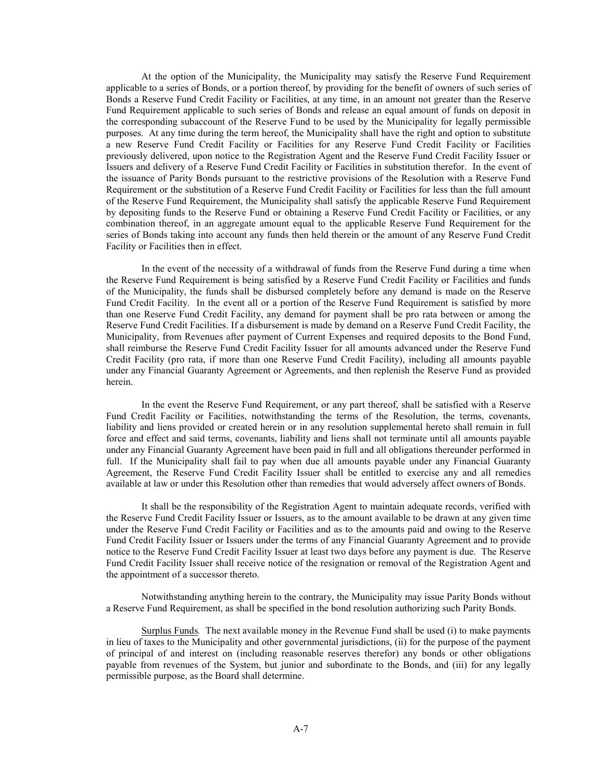At the option of the Municipality, the Municipality may satisfy the Reserve Fund Requirement applicable to a series of Bonds, or a portion thereof, by providing for the benefit of owners of such series of Bonds a Reserve Fund Credit Facility or Facilities, at any time, in an amount not greater than the Reserve Fund Requirement applicable to such series of Bonds and release an equal amount of funds on deposit in the corresponding subaccount of the Reserve Fund to be used by the Municipality for legally permissible purposes. At any time during the term hereof, the Municipality shall have the right and option to substitute a new Reserve Fund Credit Facility or Facilities for any Reserve Fund Credit Facility or Facilities previously delivered, upon notice to the Registration Agent and the Reserve Fund Credit Facility Issuer or Issuers and delivery of a Reserve Fund Credit Facility or Facilities in substitution therefor. In the event of the issuance of Parity Bonds pursuant to the restrictive provisions of the Resolution with a Reserve Fund Requirement or the substitution of a Reserve Fund Credit Facility or Facilities for less than the full amount of the Reserve Fund Requirement, the Municipality shall satisfy the applicable Reserve Fund Requirement by depositing funds to the Reserve Fund or obtaining a Reserve Fund Credit Facility or Facilities, or any combination thereof, in an aggregate amount equal to the applicable Reserve Fund Requirement for the series of Bonds taking into account any funds then held therein or the amount of any Reserve Fund Credit Facility or Facilities then in effect.

In the event of the necessity of a withdrawal of funds from the Reserve Fund during a time when the Reserve Fund Requirement is being satisfied by a Reserve Fund Credit Facility or Facilities and funds of the Municipality, the funds shall be disbursed completely before any demand is made on the Reserve Fund Credit Facility. In the event all or a portion of the Reserve Fund Requirement is satisfied by more than one Reserve Fund Credit Facility, any demand for payment shall be pro rata between or among the Reserve Fund Credit Facilities. If a disbursement is made by demand on a Reserve Fund Credit Facility, the Municipality, from Revenues after payment of Current Expenses and required deposits to the Bond Fund, shall reimburse the Reserve Fund Credit Facility Issuer for all amounts advanced under the Reserve Fund Credit Facility (pro rata, if more than one Reserve Fund Credit Facility), including all amounts payable under any Financial Guaranty Agreement or Agreements, and then replenish the Reserve Fund as provided herein.

In the event the Reserve Fund Requirement, or any part thereof, shall be satisfied with a Reserve Fund Credit Facility or Facilities, notwithstanding the terms of the Resolution, the terms, covenants, liability and liens provided or created herein or in any resolution supplemental hereto shall remain in full force and effect and said terms, covenants, liability and liens shall not terminate until all amounts payable under any Financial Guaranty Agreement have been paid in full and all obligations thereunder performed in full. If the Municipality shall fail to pay when due all amounts payable under any Financial Guaranty Agreement, the Reserve Fund Credit Facility Issuer shall be entitled to exercise any and all remedies available at law or under this Resolution other than remedies that would adversely affect owners of Bonds.

It shall be the responsibility of the Registration Agent to maintain adequate records, verified with the Reserve Fund Credit Facility Issuer or Issuers, as to the amount available to be drawn at any given time under the Reserve Fund Credit Facility or Facilities and as to the amounts paid and owing to the Reserve Fund Credit Facility Issuer or Issuers under the terms of any Financial Guaranty Agreement and to provide notice to the Reserve Fund Credit Facility Issuer at least two days before any payment is due. The Reserve Fund Credit Facility Issuer shall receive notice of the resignation or removal of the Registration Agent and the appointment of a successor thereto.

Notwithstanding anything herein to the contrary, the Municipality may issue Parity Bonds without a Reserve Fund Requirement, as shall be specified in the bond resolution authorizing such Parity Bonds.

Surplus Funds*.* The next available money in the Revenue Fund shall be used (i) to make payments in lieu of taxes to the Municipality and other governmental jurisdictions, (ii) for the purpose of the payment of principal of and interest on (including reasonable reserves therefor) any bonds or other obligations payable from revenues of the System, but junior and subordinate to the Bonds, and (iii) for any legally permissible purpose, as the Board shall determine.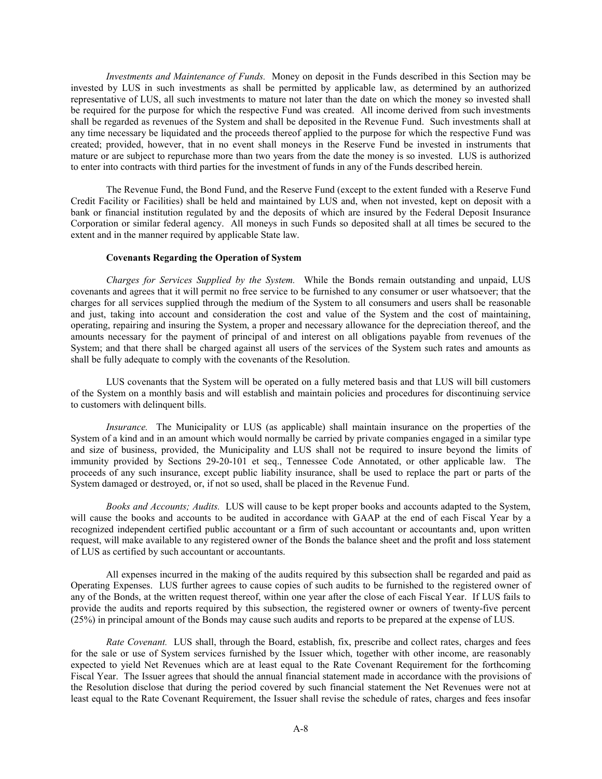*Investments and Maintenance of Funds.* Money on deposit in the Funds described in this Section may be invested by LUS in such investments as shall be permitted by applicable law, as determined by an authorized representative of LUS, all such investments to mature not later than the date on which the money so invested shall be required for the purpose for which the respective Fund was created. All income derived from such investments shall be regarded as revenues of the System and shall be deposited in the Revenue Fund. Such investments shall at any time necessary be liquidated and the proceeds thereof applied to the purpose for which the respective Fund was created; provided, however, that in no event shall moneys in the Reserve Fund be invested in instruments that mature or are subject to repurchase more than two years from the date the money is so invested. LUS is authorized to enter into contracts with third parties for the investment of funds in any of the Funds described herein.

The Revenue Fund, the Bond Fund, and the Reserve Fund (except to the extent funded with a Reserve Fund Credit Facility or Facilities) shall be held and maintained by LUS and, when not invested, kept on deposit with a bank or financial institution regulated by and the deposits of which are insured by the Federal Deposit Insurance Corporation or similar federal agency. All moneys in such Funds so deposited shall at all times be secured to the extent and in the manner required by applicable State law.

#### **Covenants Regarding the Operation of System**

*Charges for Services Supplied by the System.* While the Bonds remain outstanding and unpaid, LUS covenants and agrees that it will permit no free service to be furnished to any consumer or user whatsoever; that the charges for all services supplied through the medium of the System to all consumers and users shall be reasonable and just, taking into account and consideration the cost and value of the System and the cost of maintaining, operating, repairing and insuring the System, a proper and necessary allowance for the depreciation thereof, and the amounts necessary for the payment of principal of and interest on all obligations payable from revenues of the System; and that there shall be charged against all users of the services of the System such rates and amounts as shall be fully adequate to comply with the covenants of the Resolution.

LUS covenants that the System will be operated on a fully metered basis and that LUS will bill customers of the System on a monthly basis and will establish and maintain policies and procedures for discontinuing service to customers with delinquent bills.

*Insurance.* The Municipality or LUS (as applicable) shall maintain insurance on the properties of the System of a kind and in an amount which would normally be carried by private companies engaged in a similar type and size of business, provided, the Municipality and LUS shall not be required to insure beyond the limits of immunity provided by Sections 29-20-101 et seq., Tennessee Code Annotated, or other applicable law. The proceeds of any such insurance, except public liability insurance, shall be used to replace the part or parts of the System damaged or destroyed, or, if not so used, shall be placed in the Revenue Fund.

*Books and Accounts; Audits.* LUS will cause to be kept proper books and accounts adapted to the System, will cause the books and accounts to be audited in accordance with GAAP at the end of each Fiscal Year by a recognized independent certified public accountant or a firm of such accountant or accountants and, upon written request, will make available to any registered owner of the Bonds the balance sheet and the profit and loss statement of LUS as certified by such accountant or accountants.

All expenses incurred in the making of the audits required by this subsection shall be regarded and paid as Operating Expenses. LUS further agrees to cause copies of such audits to be furnished to the registered owner of any of the Bonds, at the written request thereof, within one year after the close of each Fiscal Year. If LUS fails to provide the audits and reports required by this subsection, the registered owner or owners of twenty-five percent (25%) in principal amount of the Bonds may cause such audits and reports to be prepared at the expense of LUS.

*Rate Covenant.* LUS shall, through the Board, establish, fix, prescribe and collect rates, charges and fees for the sale or use of System services furnished by the Issuer which, together with other income, are reasonably expected to yield Net Revenues which are at least equal to the Rate Covenant Requirement for the forthcoming Fiscal Year. The Issuer agrees that should the annual financial statement made in accordance with the provisions of the Resolution disclose that during the period covered by such financial statement the Net Revenues were not at least equal to the Rate Covenant Requirement, the Issuer shall revise the schedule of rates, charges and fees insofar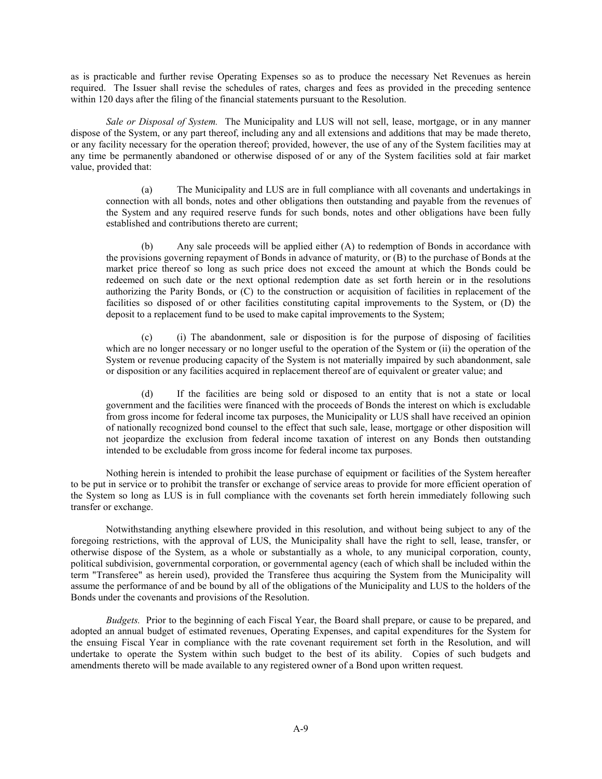as is practicable and further revise Operating Expenses so as to produce the necessary Net Revenues as herein required. The Issuer shall revise the schedules of rates, charges and fees as provided in the preceding sentence within 120 days after the filing of the financial statements pursuant to the Resolution.

*Sale or Disposal of System.* The Municipality and LUS will not sell, lease, mortgage, or in any manner dispose of the System, or any part thereof, including any and all extensions and additions that may be made thereto, or any facility necessary for the operation thereof; provided, however, the use of any of the System facilities may at any time be permanently abandoned or otherwise disposed of or any of the System facilities sold at fair market value, provided that:

(a) The Municipality and LUS are in full compliance with all covenants and undertakings in connection with all bonds, notes and other obligations then outstanding and payable from the revenues of the System and any required reserve funds for such bonds, notes and other obligations have been fully established and contributions thereto are current;

Any sale proceeds will be applied either  $(A)$  to redemption of Bonds in accordance with the provisions governing repayment of Bonds in advance of maturity, or (B) to the purchase of Bonds at the market price thereof so long as such price does not exceed the amount at which the Bonds could be redeemed on such date or the next optional redemption date as set forth herein or in the resolutions authorizing the Parity Bonds, or (C) to the construction or acquisition of facilities in replacement of the facilities so disposed of or other facilities constituting capital improvements to the System, or (D) the deposit to a replacement fund to be used to make capital improvements to the System;

(c) (i) The abandonment, sale or disposition is for the purpose of disposing of facilities which are no longer necessary or no longer useful to the operation of the System or (ii) the operation of the System or revenue producing capacity of the System is not materially impaired by such abandonment, sale or disposition or any facilities acquired in replacement thereof are of equivalent or greater value; and

(d) If the facilities are being sold or disposed to an entity that is not a state or local government and the facilities were financed with the proceeds of Bonds the interest on which is excludable from gross income for federal income tax purposes, the Municipality or LUS shall have received an opinion of nationally recognized bond counsel to the effect that such sale, lease, mortgage or other disposition will not jeopardize the exclusion from federal income taxation of interest on any Bonds then outstanding intended to be excludable from gross income for federal income tax purposes.

Nothing herein is intended to prohibit the lease purchase of equipment or facilities of the System hereafter to be put in service or to prohibit the transfer or exchange of service areas to provide for more efficient operation of the System so long as LUS is in full compliance with the covenants set forth herein immediately following such transfer or exchange.

Notwithstanding anything elsewhere provided in this resolution, and without being subject to any of the foregoing restrictions, with the approval of LUS, the Municipality shall have the right to sell, lease, transfer, or otherwise dispose of the System, as a whole or substantially as a whole, to any municipal corporation, county, political subdivision, governmental corporation, or governmental agency (each of which shall be included within the term "Transferee" as herein used), provided the Transferee thus acquiring the System from the Municipality will assume the performance of and be bound by all of the obligations of the Municipality and LUS to the holders of the Bonds under the covenants and provisions of the Resolution.

*Budgets.* Prior to the beginning of each Fiscal Year, the Board shall prepare, or cause to be prepared, and adopted an annual budget of estimated revenues, Operating Expenses, and capital expenditures for the System for the ensuing Fiscal Year in compliance with the rate covenant requirement set forth in the Resolution, and will undertake to operate the System within such budget to the best of its ability. Copies of such budgets and amendments thereto will be made available to any registered owner of a Bond upon written request.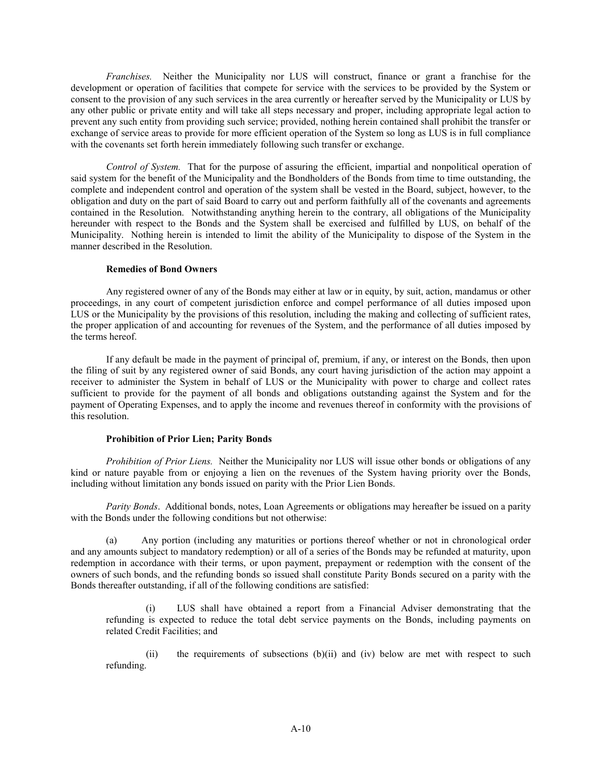*Franchises.* Neither the Municipality nor LUS will construct, finance or grant a franchise for the development or operation of facilities that compete for service with the services to be provided by the System or consent to the provision of any such services in the area currently or hereafter served by the Municipality or LUS by any other public or private entity and will take all steps necessary and proper, including appropriate legal action to prevent any such entity from providing such service; provided, nothing herein contained shall prohibit the transfer or exchange of service areas to provide for more efficient operation of the System so long as LUS is in full compliance with the covenants set forth herein immediately following such transfer or exchange.

*Control of System.* That for the purpose of assuring the efficient, impartial and nonpolitical operation of said system for the benefit of the Municipality and the Bondholders of the Bonds from time to time outstanding, the complete and independent control and operation of the system shall be vested in the Board, subject, however, to the obligation and duty on the part of said Board to carry out and perform faithfully all of the covenants and agreements contained in the Resolution. Notwithstanding anything herein to the contrary, all obligations of the Municipality hereunder with respect to the Bonds and the System shall be exercised and fulfilled by LUS, on behalf of the Municipality. Nothing herein is intended to limit the ability of the Municipality to dispose of the System in the manner described in the Resolution.

# **Remedies of Bond Owners**

Any registered owner of any of the Bonds may either at law or in equity, by suit, action, mandamus or other proceedings, in any court of competent jurisdiction enforce and compel performance of all duties imposed upon LUS or the Municipality by the provisions of this resolution, including the making and collecting of sufficient rates, the proper application of and accounting for revenues of the System, and the performance of all duties imposed by the terms hereof.

If any default be made in the payment of principal of, premium, if any, or interest on the Bonds, then upon the filing of suit by any registered owner of said Bonds, any court having jurisdiction of the action may appoint a receiver to administer the System in behalf of LUS or the Municipality with power to charge and collect rates sufficient to provide for the payment of all bonds and obligations outstanding against the System and for the payment of Operating Expenses, and to apply the income and revenues thereof in conformity with the provisions of this resolution.

# **Prohibition of Prior Lien; Parity Bonds**

*Prohibition of Prior Liens.* Neither the Municipality nor LUS will issue other bonds or obligations of any kind or nature payable from or enjoying a lien on the revenues of the System having priority over the Bonds, including without limitation any bonds issued on parity with the Prior Lien Bonds.

*Parity Bonds*. Additional bonds, notes, Loan Agreements or obligations may hereafter be issued on a parity with the Bonds under the following conditions but not otherwise:

(a) Any portion (including any maturities or portions thereof whether or not in chronological order and any amounts subject to mandatory redemption) or all of a series of the Bonds may be refunded at maturity, upon redemption in accordance with their terms, or upon payment, prepayment or redemption with the consent of the owners of such bonds, and the refunding bonds so issued shall constitute Parity Bonds secured on a parity with the Bonds thereafter outstanding, if all of the following conditions are satisfied:

(i) LUS shall have obtained a report from a Financial Adviser demonstrating that the refunding is expected to reduce the total debt service payments on the Bonds, including payments on related Credit Facilities; and

(ii) the requirements of subsections  $(b)(ii)$  and  $(iv)$  below are met with respect to such refunding.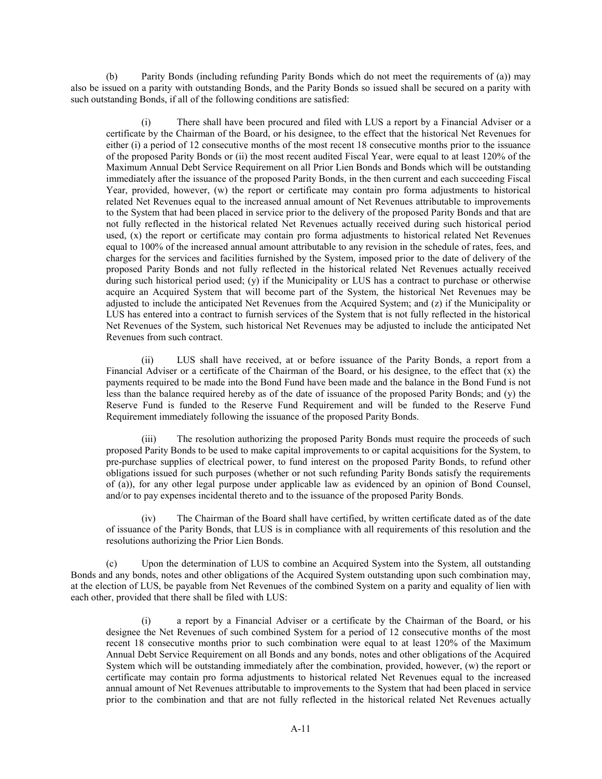(b) Parity Bonds (including refunding Parity Bonds which do not meet the requirements of (a)) may also be issued on a parity with outstanding Bonds, and the Parity Bonds so issued shall be secured on a parity with such outstanding Bonds, if all of the following conditions are satisfied:

(i) There shall have been procured and filed with LUS a report by a Financial Adviser or a certificate by the Chairman of the Board, or his designee, to the effect that the historical Net Revenues for either (i) a period of 12 consecutive months of the most recent 18 consecutive months prior to the issuance of the proposed Parity Bonds or (ii) the most recent audited Fiscal Year, were equal to at least 120% of the Maximum Annual Debt Service Requirement on all Prior Lien Bonds and Bonds which will be outstanding immediately after the issuance of the proposed Parity Bonds, in the then current and each succeeding Fiscal Year, provided, however, (w) the report or certificate may contain pro forma adjustments to historical related Net Revenues equal to the increased annual amount of Net Revenues attributable to improvements to the System that had been placed in service prior to the delivery of the proposed Parity Bonds and that are not fully reflected in the historical related Net Revenues actually received during such historical period used, (x) the report or certificate may contain pro forma adjustments to historical related Net Revenues equal to 100% of the increased annual amount attributable to any revision in the schedule of rates, fees, and charges for the services and facilities furnished by the System, imposed prior to the date of delivery of the proposed Parity Bonds and not fully reflected in the historical related Net Revenues actually received during such historical period used; (y) if the Municipality or LUS has a contract to purchase or otherwise acquire an Acquired System that will become part of the System, the historical Net Revenues may be adjusted to include the anticipated Net Revenues from the Acquired System; and (z) if the Municipality or LUS has entered into a contract to furnish services of the System that is not fully reflected in the historical Net Revenues of the System, such historical Net Revenues may be adjusted to include the anticipated Net Revenues from such contract.

(ii) LUS shall have received, at or before issuance of the Parity Bonds, a report from a Financial Adviser or a certificate of the Chairman of the Board, or his designee, to the effect that (x) the payments required to be made into the Bond Fund have been made and the balance in the Bond Fund is not less than the balance required hereby as of the date of issuance of the proposed Parity Bonds; and (y) the Reserve Fund is funded to the Reserve Fund Requirement and will be funded to the Reserve Fund Requirement immediately following the issuance of the proposed Parity Bonds.

(iii) The resolution authorizing the proposed Parity Bonds must require the proceeds of such proposed Parity Bonds to be used to make capital improvements to or capital acquisitions for the System, to pre-purchase supplies of electrical power, to fund interest on the proposed Parity Bonds, to refund other obligations issued for such purposes (whether or not such refunding Parity Bonds satisfy the requirements of (a)), for any other legal purpose under applicable law as evidenced by an opinion of Bond Counsel, and/or to pay expenses incidental thereto and to the issuance of the proposed Parity Bonds.

(iv) The Chairman of the Board shall have certified, by written certificate dated as of the date of issuance of the Parity Bonds, that LUS is in compliance with all requirements of this resolution and the resolutions authorizing the Prior Lien Bonds.

(c) Upon the determination of LUS to combine an Acquired System into the System, all outstanding Bonds and any bonds, notes and other obligations of the Acquired System outstanding upon such combination may, at the election of LUS, be payable from Net Revenues of the combined System on a parity and equality of lien with each other, provided that there shall be filed with LUS:

(i) a report by a Financial Adviser or a certificate by the Chairman of the Board, or his designee the Net Revenues of such combined System for a period of 12 consecutive months of the most recent 18 consecutive months prior to such combination were equal to at least 120% of the Maximum Annual Debt Service Requirement on all Bonds and any bonds, notes and other obligations of the Acquired System which will be outstanding immediately after the combination, provided, however, (w) the report or certificate may contain pro forma adjustments to historical related Net Revenues equal to the increased annual amount of Net Revenues attributable to improvements to the System that had been placed in service prior to the combination and that are not fully reflected in the historical related Net Revenues actually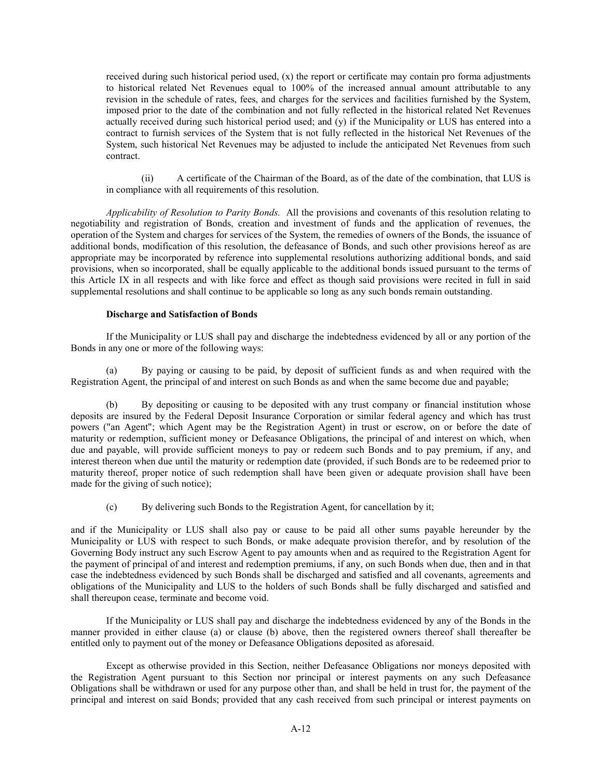received during such historical period used, (x) the report or certificate may contain pro forma adjustments to historical related Net Revenues equal to 100% of the increased annual amount attributable to any revision in the schedule of rates, fees, and charges for the services and facilities furnished by the System, imposed prior to the date of the combination and not fully reflected in the historical related Net Revenues actually received during such historical period used; and (y) if the Municipality or LUS has entered into a contract to furnish services of the System that is not fully reflected in the historical Net Revenues of the System, such historical Net Revenues may be adjusted to include the anticipated Net Revenues from such contract.

(ii) A certificate of the Chairman of the Board, as of the date of the combination, that LUS is in compliance with all requirements of this resolution.

*Applicability of Resolution to Parity Bonds.* All the provisions and covenants of this resolution relating to negotiability and registration of Bonds, creation and investment of funds and the application of revenues, the operation of the System and charges for services of the System, the remedies of owners of the Bonds, the issuance of additional bonds, modification of this resolution, the defeasance of Bonds, and such other provisions hereof as are appropriate may be incorporated by reference into supplemental resolutions authorizing additional bonds, and said provisions, when so incorporated, shall be equally applicable to the additional bonds issued pursuant to the terms of this Article IX in all respects and with like force and effect as though said provisions were recited in full in said supplemental resolutions and shall continue to be applicable so long as any such bonds remain outstanding.

## **Discharge and Satisfaction of Bonds**

If the Municipality or LUS shall pay and discharge the indebtedness evidenced by all or any portion of the Bonds in any one or more of the following ways:

By paying or causing to be paid, by deposit of sufficient funds as and when required with the Registration Agent, the principal of and interest on such Bonds as and when the same become due and payable;

(b) By depositing or causing to be deposited with any trust company or financial institution whose deposits are insured by the Federal Deposit Insurance Corporation or similar federal agency and which has trust powers ("an Agent"; which Agent may be the Registration Agent) in trust or escrow, on or before the date of maturity or redemption, sufficient money or Defeasance Obligations, the principal of and interest on which, when due and payable, will provide sufficient moneys to pay or redeem such Bonds and to pay premium, if any, and interest thereon when due until the maturity or redemption date (provided, if such Bonds are to be redeemed prior to maturity thereof, proper notice of such redemption shall have been given or adequate provision shall have been made for the giving of such notice);

(c) By delivering such Bonds to the Registration Agent, for cancellation by it;

and if the Municipality or LUS shall also pay or cause to be paid all other sums payable hereunder by the Municipality or LUS with respect to such Bonds, or make adequate provision therefor, and by resolution of the Governing Body instruct any such Escrow Agent to pay amounts when and as required to the Registration Agent for the payment of principal of and interest and redemption premiums, if any, on such Bonds when due, then and in that case the indebtedness evidenced by such Bonds shall be discharged and satisfied and all covenants, agreements and obligations of the Municipality and LUS to the holders of such Bonds shall be fully discharged and satisfied and shall thereupon cease, terminate and become void.

If the Municipality or LUS shall pay and discharge the indebtedness evidenced by any of the Bonds in the manner provided in either clause (a) or clause (b) above, then the registered owners thereof shall thereafter be entitled only to payment out of the money or Defeasance Obligations deposited as aforesaid.

Except as otherwise provided in this Section, neither Defeasance Obligations nor moneys deposited with the Registration Agent pursuant to this Section nor principal or interest payments on any such Defeasance Obligations shall be withdrawn or used for any purpose other than, and shall be held in trust for, the payment of the principal and interest on said Bonds; provided that any cash received from such principal or interest payments on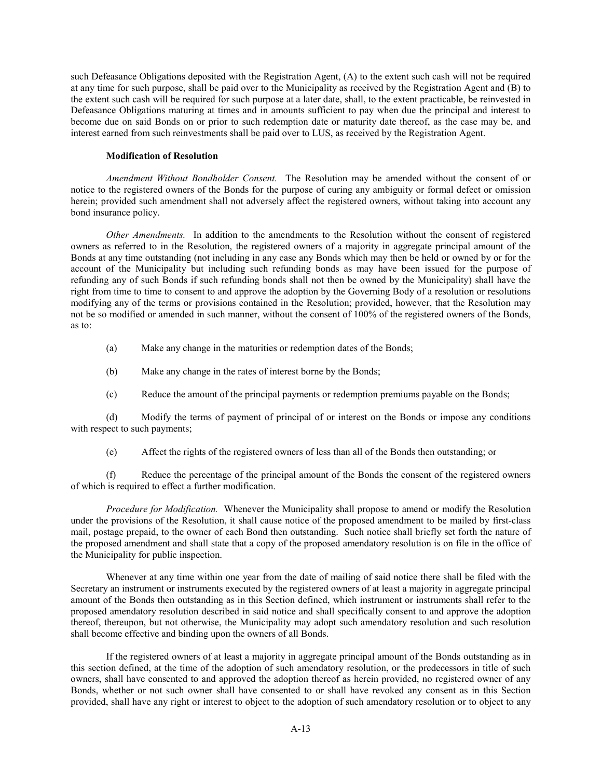such Defeasance Obligations deposited with the Registration Agent, (A) to the extent such cash will not be required at any time for such purpose, shall be paid over to the Municipality as received by the Registration Agent and (B) to the extent such cash will be required for such purpose at a later date, shall, to the extent practicable, be reinvested in Defeasance Obligations maturing at times and in amounts sufficient to pay when due the principal and interest to become due on said Bonds on or prior to such redemption date or maturity date thereof, as the case may be, and interest earned from such reinvestments shall be paid over to LUS, as received by the Registration Agent.

# **Modification of Resolution**

*Amendment Without Bondholder Consent.* The Resolution may be amended without the consent of or notice to the registered owners of the Bonds for the purpose of curing any ambiguity or formal defect or omission herein; provided such amendment shall not adversely affect the registered owners, without taking into account any bond insurance policy.

*Other Amendments.* In addition to the amendments to the Resolution without the consent of registered owners as referred to in the Resolution, the registered owners of a majority in aggregate principal amount of the Bonds at any time outstanding (not including in any case any Bonds which may then be held or owned by or for the account of the Municipality but including such refunding bonds as may have been issued for the purpose of refunding any of such Bonds if such refunding bonds shall not then be owned by the Municipality) shall have the right from time to time to consent to and approve the adoption by the Governing Body of a resolution or resolutions modifying any of the terms or provisions contained in the Resolution; provided, however, that the Resolution may not be so modified or amended in such manner, without the consent of 100% of the registered owners of the Bonds, as to:

- (a) Make any change in the maturities or redemption dates of the Bonds;
- (b) Make any change in the rates of interest borne by the Bonds;
- (c) Reduce the amount of the principal payments or redemption premiums payable on the Bonds;

(d) Modify the terms of payment of principal of or interest on the Bonds or impose any conditions with respect to such payments;

(e) Affect the rights of the registered owners of less than all of the Bonds then outstanding; or

(f) Reduce the percentage of the principal amount of the Bonds the consent of the registered owners of which is required to effect a further modification.

*Procedure for Modification.* Whenever the Municipality shall propose to amend or modify the Resolution under the provisions of the Resolution, it shall cause notice of the proposed amendment to be mailed by first-class mail, postage prepaid, to the owner of each Bond then outstanding. Such notice shall briefly set forth the nature of the proposed amendment and shall state that a copy of the proposed amendatory resolution is on file in the office of the Municipality for public inspection.

Whenever at any time within one year from the date of mailing of said notice there shall be filed with the Secretary an instrument or instruments executed by the registered owners of at least a majority in aggregate principal amount of the Bonds then outstanding as in this Section defined, which instrument or instruments shall refer to the proposed amendatory resolution described in said notice and shall specifically consent to and approve the adoption thereof, thereupon, but not otherwise, the Municipality may adopt such amendatory resolution and such resolution shall become effective and binding upon the owners of all Bonds.

If the registered owners of at least a majority in aggregate principal amount of the Bonds outstanding as in this section defined, at the time of the adoption of such amendatory resolution, or the predecessors in title of such owners, shall have consented to and approved the adoption thereof as herein provided, no registered owner of any Bonds, whether or not such owner shall have consented to or shall have revoked any consent as in this Section provided, shall have any right or interest to object to the adoption of such amendatory resolution or to object to any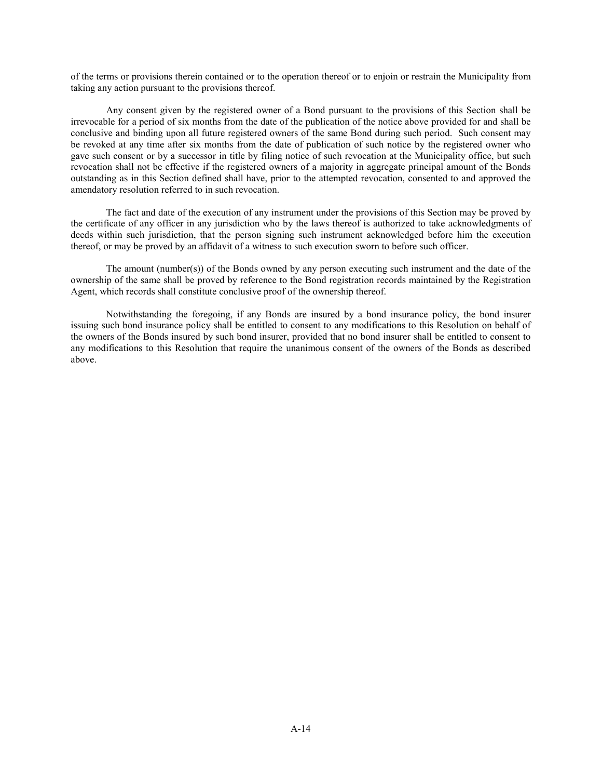of the terms or provisions therein contained or to the operation thereof or to enjoin or restrain the Municipality from taking any action pursuant to the provisions thereof.

Any consent given by the registered owner of a Bond pursuant to the provisions of this Section shall be irrevocable for a period of six months from the date of the publication of the notice above provided for and shall be conclusive and binding upon all future registered owners of the same Bond during such period. Such consent may be revoked at any time after six months from the date of publication of such notice by the registered owner who gave such consent or by a successor in title by filing notice of such revocation at the Municipality office, but such revocation shall not be effective if the registered owners of a majority in aggregate principal amount of the Bonds outstanding as in this Section defined shall have, prior to the attempted revocation, consented to and approved the amendatory resolution referred to in such revocation.

The fact and date of the execution of any instrument under the provisions of this Section may be proved by the certificate of any officer in any jurisdiction who by the laws thereof is authorized to take acknowledgments of deeds within such jurisdiction, that the person signing such instrument acknowledged before him the execution thereof, or may be proved by an affidavit of a witness to such execution sworn to before such officer.

The amount (number(s)) of the Bonds owned by any person executing such instrument and the date of the ownership of the same shall be proved by reference to the Bond registration records maintained by the Registration Agent, which records shall constitute conclusive proof of the ownership thereof.

Notwithstanding the foregoing, if any Bonds are insured by a bond insurance policy, the bond insurer issuing such bond insurance policy shall be entitled to consent to any modifications to this Resolution on behalf of the owners of the Bonds insured by such bond insurer, provided that no bond insurer shall be entitled to consent to any modifications to this Resolution that require the unanimous consent of the owners of the Bonds as described above.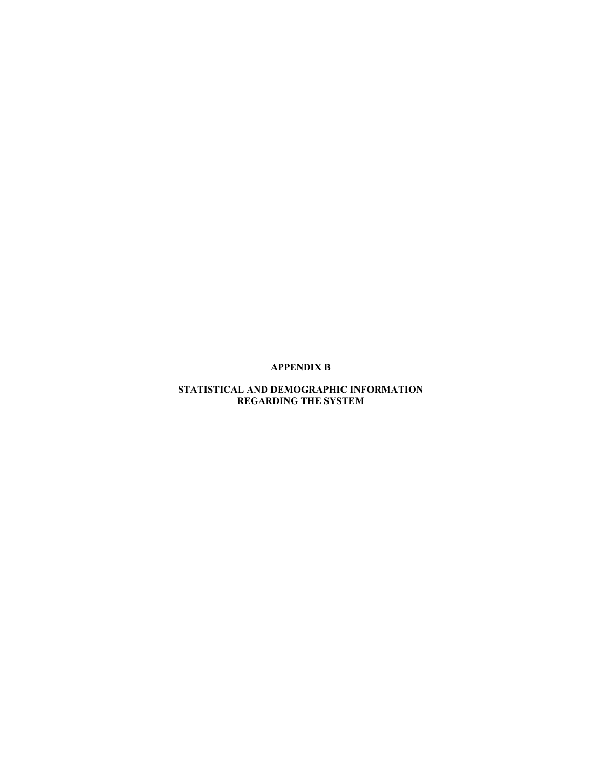# **APPENDIX B**

# **STATISTICAL AND DEMOGRAPHIC INFORMATION REGARDING THE SYSTEM**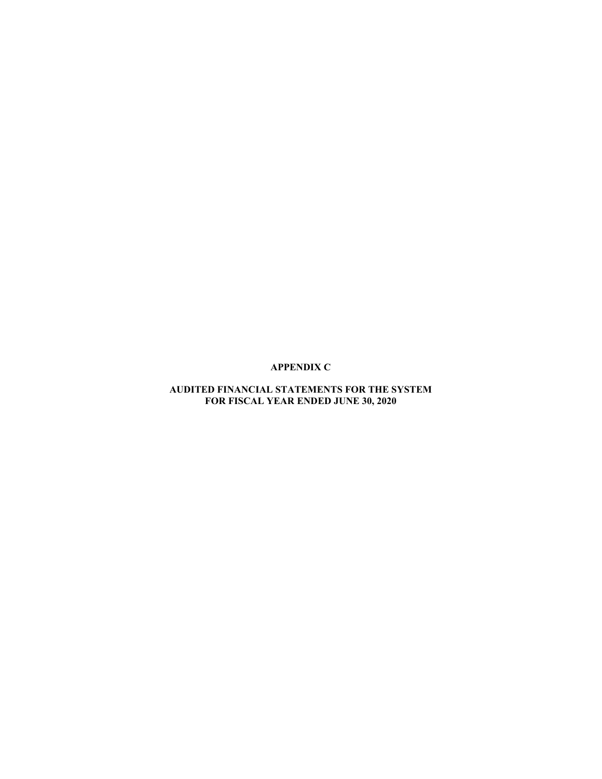# **APPENDIX C**

# **AUDITED FINANCIAL STATEMENTS FOR THE SYSTEM FOR FISCAL YEAR ENDED JUNE 30, 2020**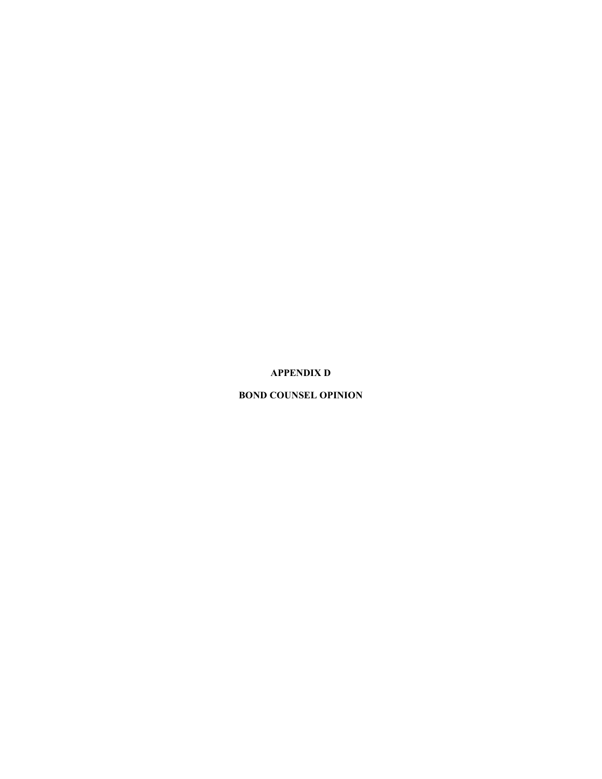**APPENDIX D**

**BOND COUNSEL OPINION**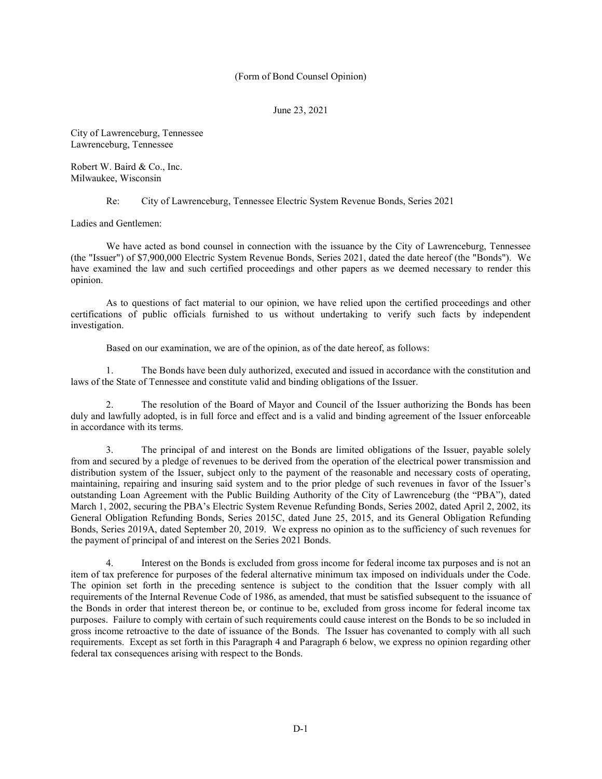# (Form of Bond Counsel Opinion)

June 23, 2021

City of Lawrenceburg, Tennessee Lawrenceburg, Tennessee

Robert W. Baird & Co., Inc. Milwaukee, Wisconsin

# Re: City of Lawrenceburg, Tennessee Electric System Revenue Bonds, Series 2021

Ladies and Gentlemen:

We have acted as bond counsel in connection with the issuance by the City of Lawrenceburg, Tennessee (the "Issuer") of \$7,900,000 Electric System Revenue Bonds, Series 2021, dated the date hereof (the "Bonds"). We have examined the law and such certified proceedings and other papers as we deemed necessary to render this opinion.

As to questions of fact material to our opinion, we have relied upon the certified proceedings and other certifications of public officials furnished to us without undertaking to verify such facts by independent investigation.

Based on our examination, we are of the opinion, as of the date hereof, as follows:

1. The Bonds have been duly authorized, executed and issued in accordance with the constitution and laws of the State of Tennessee and constitute valid and binding obligations of the Issuer.

2. The resolution of the Board of Mayor and Council of the Issuer authorizing the Bonds has been duly and lawfully adopted, is in full force and effect and is a valid and binding agreement of the Issuer enforceable in accordance with its terms.

3. The principal of and interest on the Bonds are limited obligations of the Issuer, payable solely from and secured by a pledge of revenues to be derived from the operation of the electrical power transmission and distribution system of the Issuer, subject only to the payment of the reasonable and necessary costs of operating, maintaining, repairing and insuring said system and to the prior pledge of such revenues in favor of the Issuer's outstanding Loan Agreement with the Public Building Authority of the City of Lawrenceburg (the "PBA"), dated March 1, 2002, securing the PBA's Electric System Revenue Refunding Bonds, Series 2002, dated April 2, 2002, its General Obligation Refunding Bonds, Series 2015C, dated June 25, 2015, and its General Obligation Refunding Bonds, Series 2019A, dated September 20, 2019. We express no opinion as to the sufficiency of such revenues for the payment of principal of and interest on the Series 2021 Bonds.

4. Interest on the Bonds is excluded from gross income for federal income tax purposes and is not an item of tax preference for purposes of the federal alternative minimum tax imposed on individuals under the Code. The opinion set forth in the preceding sentence is subject to the condition that the Issuer comply with all requirements of the Internal Revenue Code of 1986, as amended, that must be satisfied subsequent to the issuance of the Bonds in order that interest thereon be, or continue to be, excluded from gross income for federal income tax purposes. Failure to comply with certain of such requirements could cause interest on the Bonds to be so included in gross income retroactive to the date of issuance of the Bonds. The Issuer has covenanted to comply with all such requirements. Except as set forth in this Paragraph 4 and Paragraph 6 below, we express no opinion regarding other federal tax consequences arising with respect to the Bonds.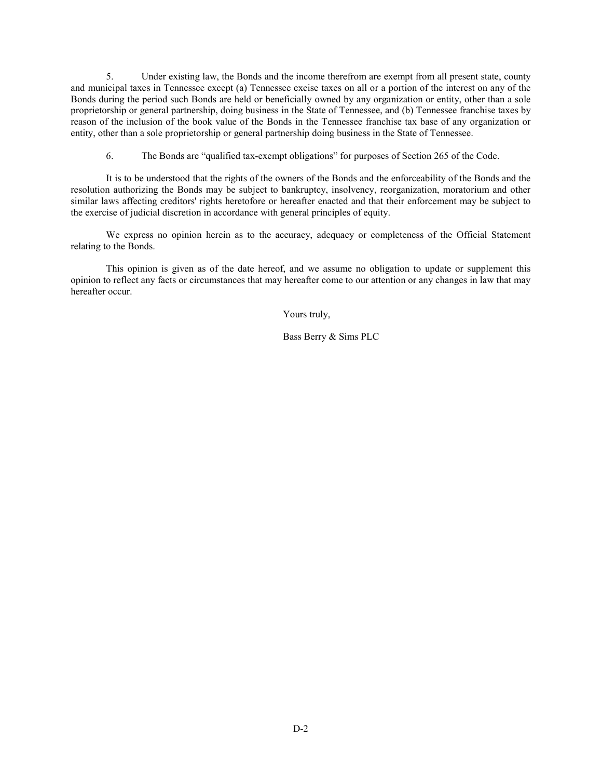5. Under existing law, the Bonds and the income therefrom are exempt from all present state, county and municipal taxes in Tennessee except (a) Tennessee excise taxes on all or a portion of the interest on any of the Bonds during the period such Bonds are held or beneficially owned by any organization or entity, other than a sole proprietorship or general partnership, doing business in the State of Tennessee, and (b) Tennessee franchise taxes by reason of the inclusion of the book value of the Bonds in the Tennessee franchise tax base of any organization or entity, other than a sole proprietorship or general partnership doing business in the State of Tennessee.

6. The Bonds are "qualified tax-exempt obligations" for purposes of Section 265 of the Code.

It is to be understood that the rights of the owners of the Bonds and the enforceability of the Bonds and the resolution authorizing the Bonds may be subject to bankruptcy, insolvency, reorganization, moratorium and other similar laws affecting creditors' rights heretofore or hereafter enacted and that their enforcement may be subject to the exercise of judicial discretion in accordance with general principles of equity.

We express no opinion herein as to the accuracy, adequacy or completeness of the Official Statement relating to the Bonds.

This opinion is given as of the date hereof, and we assume no obligation to update or supplement this opinion to reflect any facts or circumstances that may hereafter come to our attention or any changes in law that may hereafter occur.

Yours truly,

Bass Berry & Sims PLC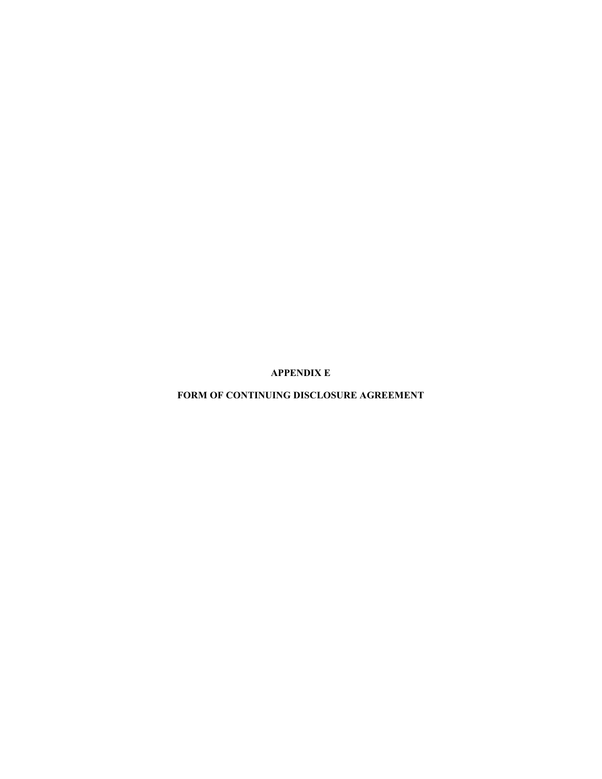**APPENDIX E**

**FORM OF CONTINUING DISCLOSURE AGREEMENT**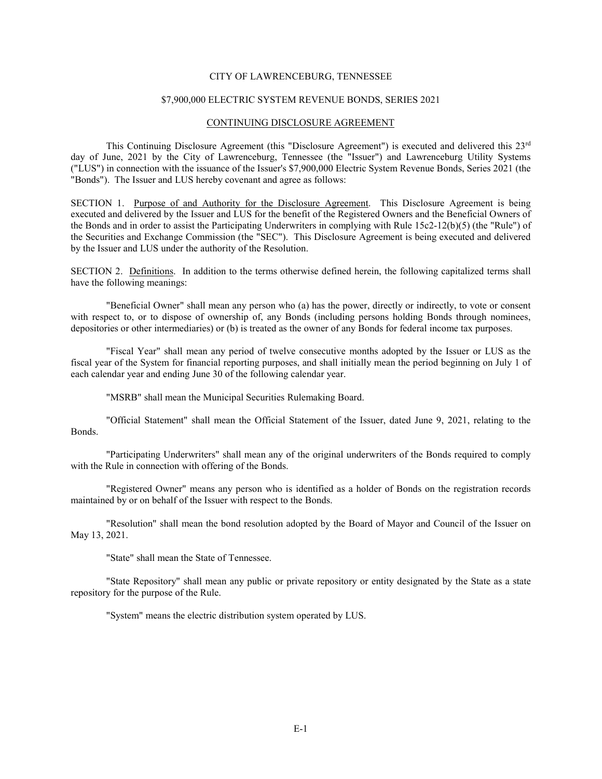# CITY OF LAWRENCEBURG, TENNESSEE

#### \$7,900,000 ELECTRIC SYSTEM REVENUE BONDS, SERIES 2021

#### CONTINUING DISCLOSURE AGREEMENT

This Continuing Disclosure Agreement (this "Disclosure Agreement") is executed and delivered this 23rd day of June, 2021 by the City of Lawrenceburg, Tennessee (the "Issuer") and Lawrenceburg Utility Systems ("LUS") in connection with the issuance of the Issuer's \$7,900,000 Electric System Revenue Bonds, Series 2021 (the "Bonds"). The Issuer and LUS hereby covenant and agree as follows:

SECTION 1. Purpose of and Authority for the Disclosure Agreement. This Disclosure Agreement is being executed and delivered by the Issuer and LUS for the benefit of the Registered Owners and the Beneficial Owners of the Bonds and in order to assist the Participating Underwriters in complying with Rule 15c2-12(b)(5) (the "Rule") of the Securities and Exchange Commission (the "SEC"). This Disclosure Agreement is being executed and delivered by the Issuer and LUS under the authority of the Resolution.

SECTION 2. Definitions. In addition to the terms otherwise defined herein, the following capitalized terms shall have the following meanings:

"Beneficial Owner" shall mean any person who (a) has the power, directly or indirectly, to vote or consent with respect to, or to dispose of ownership of, any Bonds (including persons holding Bonds through nominees, depositories or other intermediaries) or (b) is treated as the owner of any Bonds for federal income tax purposes.

"Fiscal Year" shall mean any period of twelve consecutive months adopted by the Issuer or LUS as the fiscal year of the System for financial reporting purposes, and shall initially mean the period beginning on July 1 of each calendar year and ending June 30 of the following calendar year.

"MSRB" shall mean the Municipal Securities Rulemaking Board.

"Official Statement" shall mean the Official Statement of the Issuer, dated June 9, 2021, relating to the Bonds.

"Participating Underwriters" shall mean any of the original underwriters of the Bonds required to comply with the Rule in connection with offering of the Bonds.

"Registered Owner" means any person who is identified as a holder of Bonds on the registration records maintained by or on behalf of the Issuer with respect to the Bonds.

"Resolution" shall mean the bond resolution adopted by the Board of Mayor and Council of the Issuer on May 13, 2021.

"State" shall mean the State of Tennessee.

"State Repository" shall mean any public or private repository or entity designated by the State as a state repository for the purpose of the Rule.

"System" means the electric distribution system operated by LUS.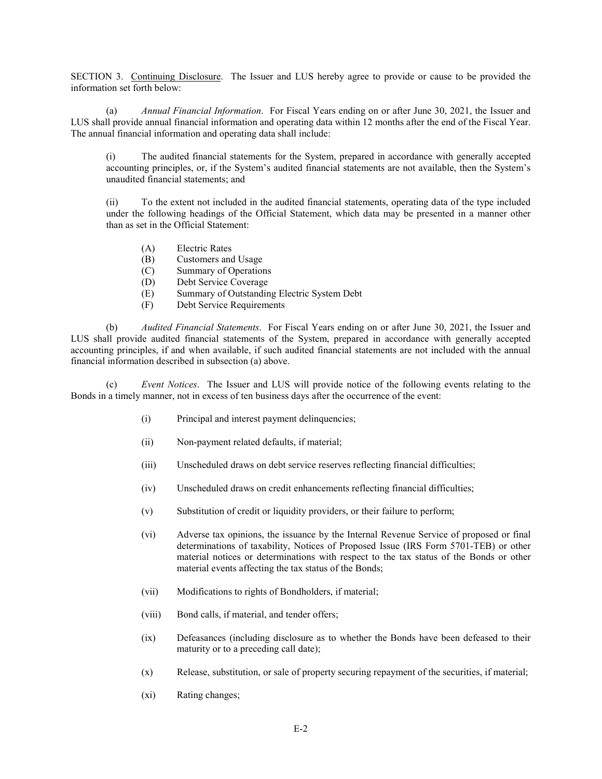SECTION 3. Continuing Disclosure. The Issuer and LUS hereby agree to provide or cause to be provided the information set forth below:

(a) *Annual Financial Information*. For Fiscal Years ending on or after June 30, 2021, the Issuer and LUS shall provide annual financial information and operating data within 12 months after the end of the Fiscal Year. The annual financial information and operating data shall include:

(i) The audited financial statements for the System, prepared in accordance with generally accepted accounting principles, or, if the System's audited financial statements are not available, then the System's unaudited financial statements; and

(ii) To the extent not included in the audited financial statements, operating data of the type included under the following headings of the Official Statement, which data may be presented in a manner other than as set in the Official Statement:

- (A) Electric Rates
- (B) Customers and Usage
- (C) Summary of Operations
- (D) Debt Service Coverage
- (E) Summary of Outstanding Electric System Debt
- Debt Service Requirements

(b) *Audited Financial Statements*. For Fiscal Years ending on or after June 30, 2021, the Issuer and LUS shall provide audited financial statements of the System, prepared in accordance with generally accepted accounting principles, if and when available, if such audited financial statements are not included with the annual financial information described in subsection (a) above.

(c) *Event Notices*. The Issuer and LUS will provide notice of the following events relating to the Bonds in a timely manner, not in excess of ten business days after the occurrence of the event:

- (i) Principal and interest payment delinquencies;
- (ii) Non-payment related defaults, if material;
- (iii) Unscheduled draws on debt service reserves reflecting financial difficulties;
- (iv) Unscheduled draws on credit enhancements reflecting financial difficulties;
- (v) Substitution of credit or liquidity providers, or their failure to perform;
- (vi) Adverse tax opinions, the issuance by the Internal Revenue Service of proposed or final determinations of taxability, Notices of Proposed Issue (IRS Form 5701-TEB) or other material notices or determinations with respect to the tax status of the Bonds or other material events affecting the tax status of the Bonds;
- (vii) Modifications to rights of Bondholders, if material;
- (viii) Bond calls, if material, and tender offers;
- (ix) Defeasances (including disclosure as to whether the Bonds have been defeased to their maturity or to a preceding call date);
- (x) Release, substitution, or sale of property securing repayment of the securities, if material;
- (xi) Rating changes;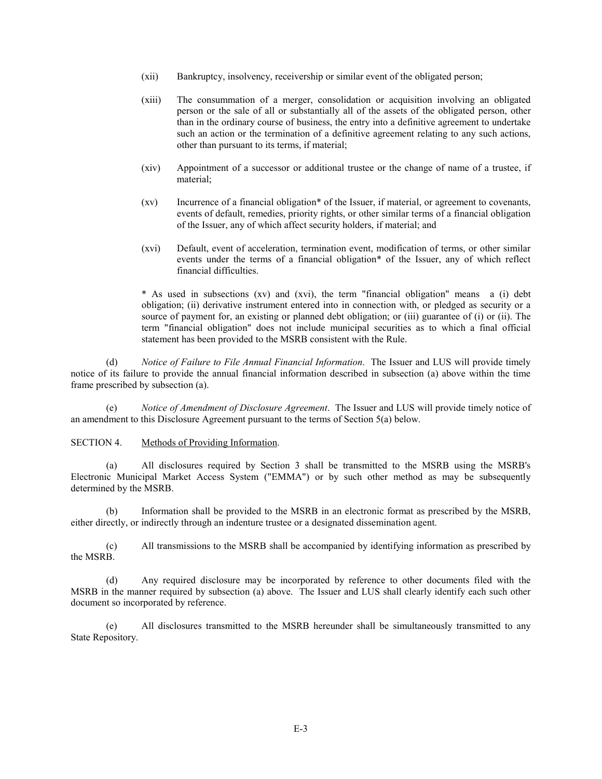- (xii) Bankruptcy, insolvency, receivership or similar event of the obligated person;
- (xiii) The consummation of a merger, consolidation or acquisition involving an obligated person or the sale of all or substantially all of the assets of the obligated person, other than in the ordinary course of business, the entry into a definitive agreement to undertake such an action or the termination of a definitive agreement relating to any such actions, other than pursuant to its terms, if material;
- (xiv) Appointment of a successor or additional trustee or the change of name of a trustee, if material;
- (xv) Incurrence of a financial obligation\* of the Issuer, if material, or agreement to covenants, events of default, remedies, priority rights, or other similar terms of a financial obligation of the Issuer, any of which affect security holders, if material; and
- (xvi) Default, event of acceleration, termination event, modification of terms, or other similar events under the terms of a financial obligation\* of the Issuer, any of which reflect financial difficulties.

\* As used in subsections (xv) and (xvi), the term "financial obligation" means a (i) debt obligation; (ii) derivative instrument entered into in connection with, or pledged as security or a source of payment for, an existing or planned debt obligation; or (iii) guarantee of (i) or (ii). The term "financial obligation" does not include municipal securities as to which a final official statement has been provided to the MSRB consistent with the Rule.

(d) *Notice of Failure to File Annual Financial Information*. The Issuer and LUS will provide timely notice of its failure to provide the annual financial information described in subsection (a) above within the time frame prescribed by subsection (a).

(e) *Notice of Amendment of Disclosure Agreement*. The Issuer and LUS will provide timely notice of an amendment to this Disclosure Agreement pursuant to the terms of Section 5(a) below.

SECTION 4. Methods of Providing Information.

(a) All disclosures required by Section 3 shall be transmitted to the MSRB using the MSRB's Electronic Municipal Market Access System ("EMMA") or by such other method as may be subsequently determined by the MSRB.

(b) Information shall be provided to the MSRB in an electronic format as prescribed by the MSRB, either directly, or indirectly through an indenture trustee or a designated dissemination agent.

(c) All transmissions to the MSRB shall be accompanied by identifying information as prescribed by the MSRB.

(d) Any required disclosure may be incorporated by reference to other documents filed with the MSRB in the manner required by subsection (a) above. The Issuer and LUS shall clearly identify each such other document so incorporated by reference.

(e) All disclosures transmitted to the MSRB hereunder shall be simultaneously transmitted to any State Repository.